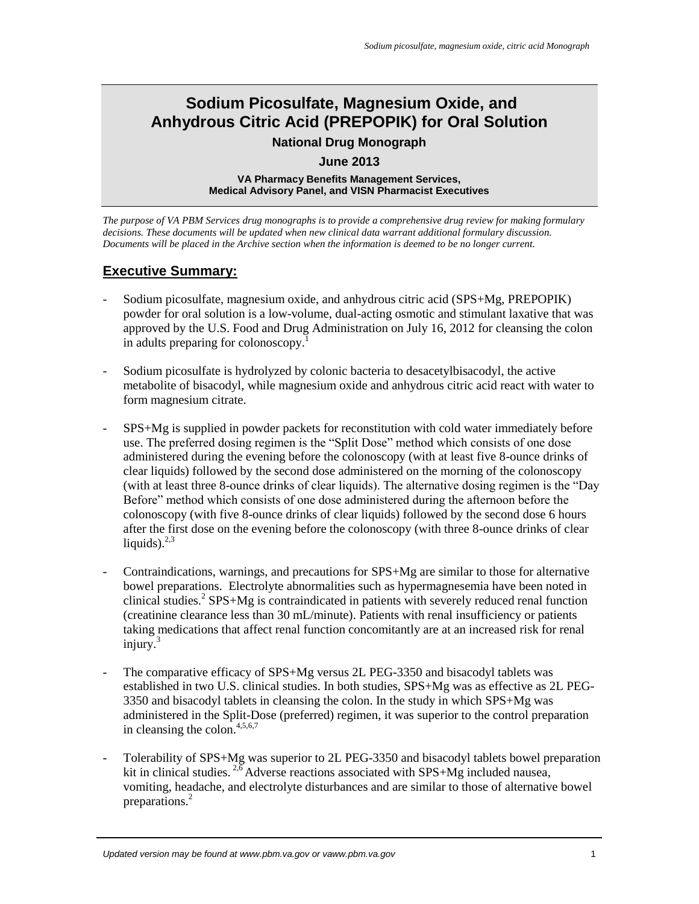# **Sodium Picosulfate, Magnesium Oxide, and Anhydrous Citric Acid (PREPOPIK) for Oral Solution**

### **National Drug Monograph**

#### <span id="page-0-5"></span>**June 2013**

**VA Pharmacy Benefits Management Services, Medical Advisory Panel, and VISN Pharmacist Executives**

<span id="page-0-7"></span>*The purpose of VA PBM Services drug monographs is to provide a comprehensive drug review for making formulary decisions. These documents will be updated when new clinical data warrant additional formulary discussion. Documents will be placed in the Archive section when the information is deemed to be no longer current.*

## **Executive Summary:**

- Sodium picosulfate, magnesium oxide, and anhydrous citric acid (SPS+Mg, PREPOPIK) powder for oral solution is a low-volume, dual-acting osmotic and stimulant laxative that was approved by the U.S. Food and Drug Administration on July 16, 2012 for cleansing the colon in adults preparing for colonoscopy.<sup>1</sup>
- Sodium picosulfate is hydrolyzed by colonic bacteria to desacetylbisacodyl, the active metabolite of bisacodyl, while magnesium oxide and anhydrous citric acid react with water to form magnesium citrate.
- SPS+Mg is supplied in powder packets for reconstitution with cold water immediately before use. The preferred dosing regimen is the "Split Dose" method which consists of one dose administered during the evening before the colonoscopy (with at least five 8-ounce drinks of clear liquids) followed by the second dose administered on the morning of the colonoscopy (with at least three 8-ounce drinks of clear liquids). The alternative dosing regimen is the "Day Before" method which consists of one dose administered during the afternoon before the colonoscopy (with five 8-ounce drinks of clear liquids) followed by the second dose 6 hours after the first dose on the evening before the colonoscopy (with three 8-ounce drinks of clear liquids). $2,3$
- <span id="page-0-8"></span><span id="page-0-1"></span><span id="page-0-0"></span>- Contraindications, warnings, and precautions for SPS+Mg are similar to those for alternative bowel preparations. Electrolyte abnormalities such as hypermagnesemia have been noted in clinical studies[.](#page-0-0)<sup>2</sup> SPS+Mg is contraindicated in patients with severely reduced renal function (creatinine clearance less than 30 mL/minute). Patients with renal insufficiency or patients taking medications that affect renal function concomitantly are at an increased risk for renal injury[.](#page-0-1)<sup>3</sup>
- The comparative efficacy of SPS+Mg versus 2L PEG-3350 and bisacodyl tablets was established in two U.S. clinical studies. In both studies, SPS+Mg was as effective as 2L PEG-3350 and bisacodyl tablets in cleansing the colon. In the study in which SPS+Mg was administered in the Split-Dose (preferred) regimen, it was superior to the control preparation in cleansing the colon.  $4,5,6,7$
- <span id="page-0-6"></span><span id="page-0-4"></span><span id="page-0-3"></span><span id="page-0-2"></span>Tolerability of SPS+Mg was superior to 2L PEG-3350 and bisacodyl tablets bowel preparation kit in clinical studies.  $^{2,6}$  $^{2,6}$  $^{2,6}$  $^{2,6}$  Adverse reactions associated with SPS+Mg included nausea, vomiting, headache, and electrolyte disturbances and are similar to those of alternative bowel preparations[.](#page-0-0)<sup>2</sup>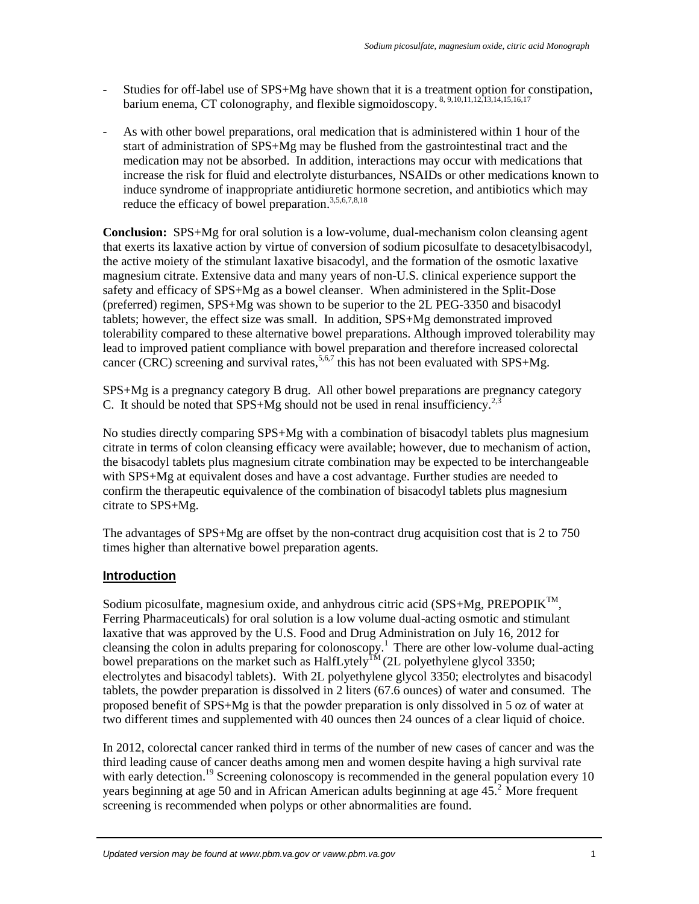- <span id="page-1-9"></span><span id="page-1-8"></span><span id="page-1-7"></span><span id="page-1-6"></span><span id="page-1-5"></span><span id="page-1-4"></span><span id="page-1-3"></span><span id="page-1-2"></span><span id="page-1-1"></span><span id="page-1-0"></span>- Studies for off-label use of SPS+Mg have shown that it is a treatment option for constipation, barium enema, CT colonography, and flexible sigmoidoscopy. <sup>8, 9,10,11,12,13,14,15,16,17</sup>
- As with other bowel preparations, oral medication that is administered within 1 hour of the start of administration of SPS+Mg may be flushed from the gastrointestinal tract and the medication may not be absorbed. In addition, interactions may occur with medications that increase the risk for fluid and electrolyte disturbances, NSAIDs or other medications known to induce syndrome of inappropriate antidiuretic hormone secretion, and antibiotics which may reduce the efficacy of bowel preparation.<sup>[3,](#page-0-1)[5,](#page-0-3)[6,](#page-0-2)[7,](#page-0-4)[8,1](#page-1-0)8</sup>

<span id="page-1-10"></span>**Conclusion:** [SPS+Mg for oral solution is a low-volume, dual-mechanism colon cleansing agent](#page-18-0)  [that exerts its laxative action by virtue of conversion of sodium picosulfate to desacetylbisacodyl,](#page-18-0)  [the active moiety of the stimulant laxative bisacodyl, and the formation of the osmotic laxative](#page-18-0)  [magnesium citrate. Extensive data and many years of non-U.S. clinical experience support the](#page-18-0)  [safety and efficacy of SPS+Mg as a bowel cleanser. When](#page-18-0) administered in the Split-Dose (preferred) regimen, SPS+Mg was shown to be [superior to the 2L PEG-3350 and bisacodyl](#page-18-0)  [tablets; however, the effect size was small. In addition, SPS+Mg demonstrated improved](#page-18-0)  [tolerability compared to these alternative bowel preparations. Although improved tolerability may](#page-18-0)  [lead to improved patient compliance with bowel preparation and therefore increased colorectal](#page-18-0)  [cancer \(CRC\) screening and survival rates,](#page-18-0)<sup>5,6,7</sup> this has not been evaluated with SPS+Mg.

[SPS+Mg is a pregnancy category B drug. All other bowel preparations are pregnancy category](#page-18-0)  C. It should be noted that  $SPS+Mg$  should not be used in renal insufficiency.<sup>2,3</sup>

[No studies directly comparing SPS+Mg with a combination of bisacodyl tablets plus magnesium](#page-18-0)  citrate in terms of colon cleansing [efficacy were available; however, due to mechanism of action,](#page-18-0)  [the bisacodyl tablets plus magnesium citrate combination may](#page-18-0) be expected to be interchangeable with SPS+Mg [at equivalent doses and have a](#page-18-0) cost advantage. Further studies are needed to [confirm the therapeutic equivalence of the combination of](#page-18-0) bisacodyl tablets plus magnesium citrate [to SPS+Mg.](#page-18-0)

[The advantages of SPS+Mg are offset by the non-contract drug acquisition cost that is 2 to 750](#page-18-0)  [times higher than alternative bowel preparation agents.](#page-18-0) 

### **Introduction**

Sodium picosulfate, magnesium oxide, and anhydrous citric acid (SPS+Mg, PREPOPIK<sup>TM</sup>, Ferring Pharmaceuticals) for oral solution is a low volume dual-acting osmotic and stimulant laxative that was approved by the U.S. Food and Drug Administration on July 16, 2012 for cleansing the colon in adults preparing for colonoscopy.<sup>[1](#page-0-5)</sup> There are other low-volume dual-acting bowel preparations on the market such as HalfLytely<sup>TM</sup> (2L polyethylene glycol 3350; electrolytes and bisacodyl tablets). With 2L polyethylene glycol 3350; electrolytes and bisacodyl tablets, the powder preparation is dissolved in 2 liters (67.6 ounces) of water and consumed. The proposed benefit of SPS+Mg is that the powder preparation is only dissolved in 5 oz of water at two different times and supplemented with 40 ounces then 24 ounces of a clear liquid of choice.

In 2012, colorectal cancer ranked third in terms of the number of new cases of cancer and was the third leading cause of cancer deaths among men and women despite having a high survival rate with early detection.<sup>19</sup> Screening colonoscopy is recommended in the general population every 10 years beginning at age 50 and in African American adults beginning at age  $45<sup>2</sup>$  $45<sup>2</sup>$  $45<sup>2</sup>$  More frequent screening is recommended when polyps or other abnormalities are found.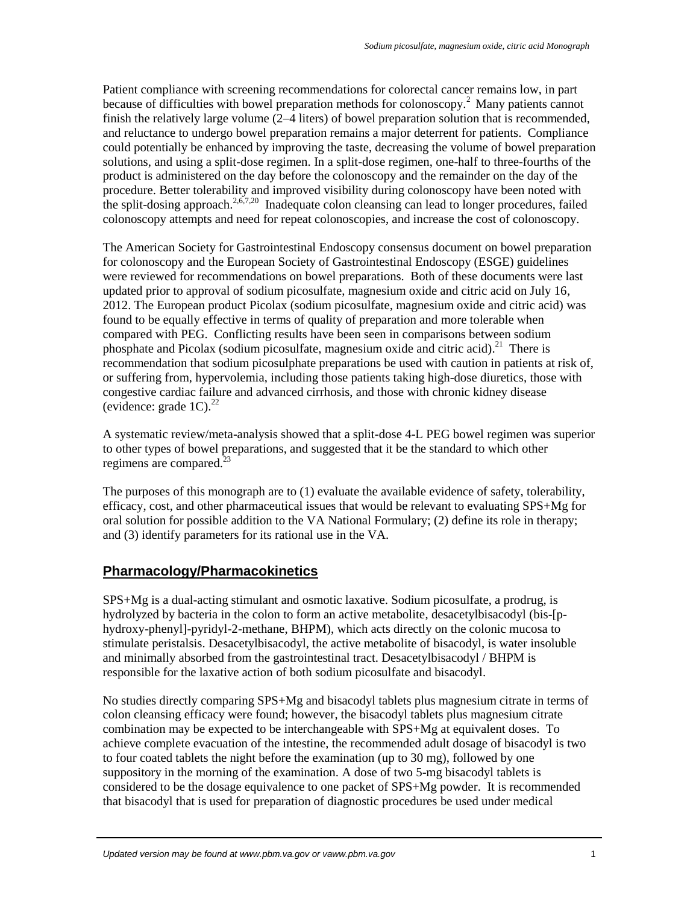<span id="page-2-0"></span>Patient compliance with screening recommendations for colorectal cancer remains low, in part because of difficulties with bowel preparation methods for colonoscopy[.](#page-0-0)<sup>2</sup> Many patients cannot finish the relatively large volume (2–4 liters) of bowel preparation solution that is recommended, and reluctance to undergo bowel preparation remains a major deterrent for patients. Compliance could potentially be enhanced by improving the taste, decreasing the volume of bowel preparation solutions, and using a split-dose regimen. In a split-dose regimen, one-half to three-fourths of the product is administered on the day before the colonoscopy and the remainder on the day of the procedure. Better tolerability and improved visibility during colonoscopy have been noted with the split-dosing approach.<sup>[2,](#page-0-0)[6,](#page-0-2)[7,2](#page-0-4)0</sup> Inadequate colon cleansing can lead to longer procedures, failed colonoscopy attempts and need for repeat colonoscopies, and increase the cost of colonoscopy.

The American Society for Gastrointestinal Endoscopy consensus document on bowel preparation for colonoscopy and the European Society of Gastrointestinal Endoscopy (ESGE) guidelines were reviewed for recommendations on bowel preparations. Both of these documents were last updated prior to approval of sodium picosulfate, magnesium oxide and citric acid on July 16, 2012. The European product Picolax (sodium picosulfate, magnesium oxide and citric acid) was found to be equally effective in terms of quality of preparation and more tolerable when compared with PEG. Conflicting results have been seen in comparisons between sodium phosphate and Picolax (sodium picosulfate, magnesium oxide and citric acid).<sup>21</sup> There is recommendation that sodium picosulphate preparations be used with caution in patients at risk of, or suffering from, hypervolemia, including those patients taking high-dose diuretics, those with congestive cardiac failure and advanced cirrhosis, and those with chronic kidney disease (evidence: grade  $1C$ ).<sup>22</sup>

A systematic review/meta-analysis showed that a split-dose 4-L PEG bowel regimen was superior to other types of bowel preparations, and suggested that it be the standard to which other regimens are compared. $^{23}$ 

The purposes of this monograph are to (1) evaluate the available evidence of safety, tolerability, efficacy, cost, and other pharmaceutical issues that would be relevant to evaluating SPS+Mg for oral solution for possible addition to the VA National Formulary; (2) define its role in therapy; and (3) identify parameters for its rational use in the VA.

### **Pharmacology/Pharmacokinetics**

SPS+Mg is a dual-acting stimulant and osmotic laxative. Sodium picosulfate, a prodrug, is hydrolyzed by bacteria in the colon to form an active metabolite, desacetylbisacodyl (bis-[phydroxy-phenyl]-pyridyl-2-methane, BHPM), which acts directly on the colonic mucosa to stimulate peristalsis. Desacetylbisacodyl, the active metabolite of bisacodyl, is water insoluble and minimally absorbed from the gastrointestinal tract. Desacetylbisacodyl / BHPM is responsible for the laxative action of both sodium picosulfate and bisacodyl.

No studies directly comparing SPS+Mg and bisacodyl tablets plus magnesium citrate in terms of colon cleansing efficacy were found; however, the bisacodyl tablets plus magnesium citrate combination may be expected to be interchangeable with SPS+Mg at equivalent doses. To achieve complete evacuation of the intestine, the recommended adult dosage of bisacodyl is two to four coated tablets the night before the examination (up to 30 mg), followed by one suppository in the morning of the examination. A dose of two 5-mg bisacodyl tablets is considered to be the dosage equivalence to one packet of SPS+Mg powder. It is recommended that bisacodyl that is used for preparation of diagnostic procedures be used under medical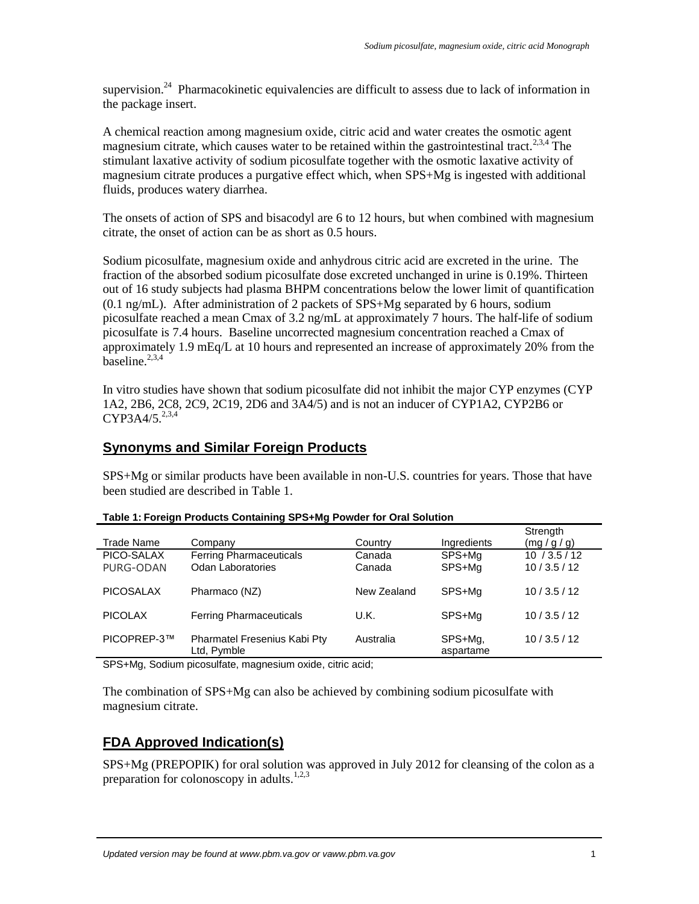supervision.<sup>24</sup> Pharmacokinetic equivalencies are difficult to assess due to lack of information in the package insert.

A chemical reaction among magnesium oxide, citric acid and water creates the osmotic agent magnesium citrate, which causes water to be retained within the gastrointestinal tract.<sup>2,3,4</sup> The stimulant laxative activity of sodium picosulfate together with the osmotic laxative activity of magnesium citrate produces a purgative effect which, when SPS+Mg is ingested with additional fluids, produces watery diarrhea.

The onsets of action of SPS and bisacodyl are 6 to 12 hours, but when combined with magnesium citrate, the onset of action can be as short as 0.5 hours.

Sodium picosulfate, magnesium oxide and anhydrous citric acid are excreted in the urine. The fraction of the absorbed sodium picosulfate dose excreted unchanged in urine is 0.19%. Thirteen out of 16 study subjects had plasma BHPM concentrations below the lower limit of quantification (0.1 ng/mL). After administration of 2 packets of SPS+Mg separated by 6 hours, sodium picosulfate reached a mean Cmax of 3.2 ng/mL at approximately 7 hours. The half-life of sodium picosulfate is 7.4 hours. Baseline uncorrected magnesium concentration reached a Cmax of approximately 1.9 mEq/L at 10 hours and represented an increase of approximately 20% from the  $\overline{\text{baseline}}^{2,3,4}$  $\overline{\text{baseline}}^{2,3,4}$  $\overline{\text{baseline}}^{2,3,4}$  $\overline{\text{baseline}}^{2,3,4}$  $\overline{\text{baseline}}^{2,3,4}$ 

In vitro studies have shown that sodium picosulfate did not inhibit the major CYP enzymes (CYP 1A2, 2B6, 2C8, 2C9, 2C19, 2D6 and 3A4/5) and is not an inducer of CYP1A2, CYP2B6 or  $CYP3A4/5.^{2,3,4}$  $CYP3A4/5.^{2,3,4}$  $CYP3A4/5.^{2,3,4}$  $CYP3A4/5.^{2,3,4}$  $CYP3A4/5.^{2,3,4}$ 

## **Synonyms and Similar Foreign Products**

SPS+Mg or similar products have been available in non-U.S. countries for years. Those that have been studied are described in [Table 1.](#page-3-0)

| Trade Name       | Company                                     | Country     | Ingredients          | Strength<br>(mg/g/g) |
|------------------|---------------------------------------------|-------------|----------------------|----------------------|
| PICO-SALAX       | <b>Ferring Pharmaceuticals</b>              | Canada      | SPS+Mg               | 10/3.5/12            |
| PURG-ODAN        | <b>Odan Laboratories</b>                    | Canada      | SPS+Mg               | 10/3.5/12            |
|                  |                                             |             |                      |                      |
| <b>PICOSALAX</b> | Pharmaco (NZ)                               | New Zealand | SPS+Ma               | 10/3.5/12            |
| <b>PICOLAX</b>   | <b>Ferring Pharmaceuticals</b>              | U.K.        | SPS+Mg               | 10/3.5/12            |
|                  |                                             |             |                      |                      |
| PICOPREP-3™      | Pharmatel Fresenius Kabi Pty<br>Ltd, Pymble | Australia   | SPS+Mg,<br>aspartame | 10/3.5/12            |

<span id="page-3-0"></span>

|  |  |  | Table 1: Foreign Products Containing SPS+Mg Powder for Oral Solution |
|--|--|--|----------------------------------------------------------------------|
|  |  |  |                                                                      |

SPS+Mg, Sodium picosulfate, magnesium oxide, citric acid;

The combination of SPS+Mg can also be achieved by combining sodium picosulfate with magnesium citrate.

## **FDA Approved Indication(s)**

SPS+Mg (PREPOPIK) for oral solution was approved in July 2012 for cleansing of the colon as a preparation for colonoscopy in adults.<sup>[1,](#page-0-5)[2,](#page-0-0)[3](#page-0-1)</sup>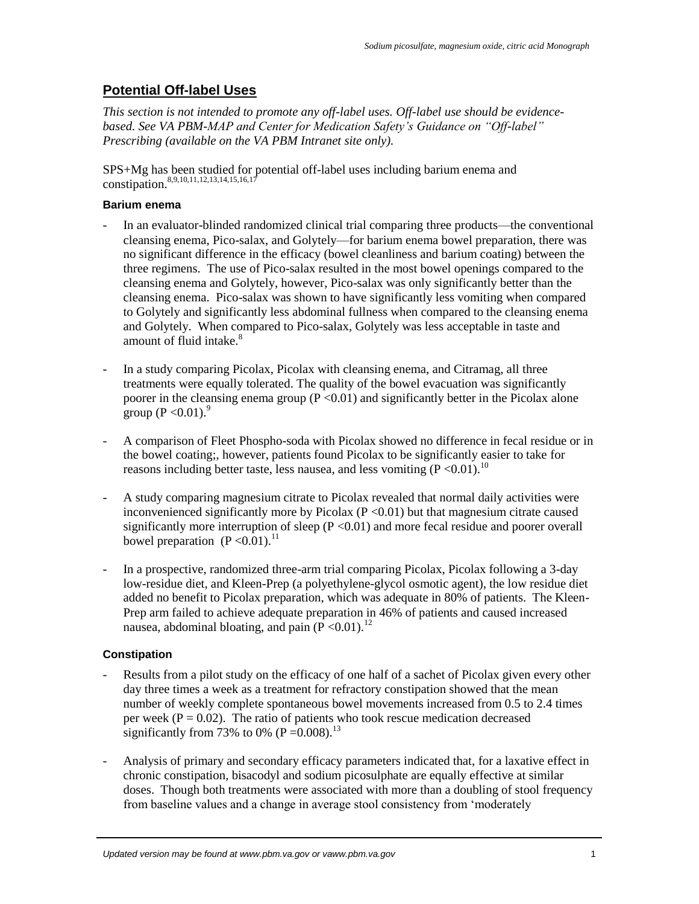## **Potential Off-label Uses**

*This section is not intended to promote any off-label uses. Off-label use should be evidencebased. See VA PBM-MAP and Center for Medication Safety's Guidance on "Off-label" Prescribing (available on the VA PBM Intranet site only).*

SPS+Mg has been studied for potential off-label uses including barium enema and constipation.<sup>[8,](#page-1-0)[9,](#page-1-1)[10,](#page-1-2)[11,](#page-1-3)[12,](#page-1-4)[13,](#page-1-5)[14,](#page-1-6)[15,](#page-1-7)[16,](#page-1-8)[17](#page-1-9)</sup>

#### **Barium enema**

- In an evaluator-blinded randomized clinical trial comparing three products—the conventional cleansing enema, Pico-salax, and Golytely—for barium enema bowel preparation, there was no significant difference in the efficacy (bowel cleanliness and barium coating) between the three regimens. The use of Pico-salax resulted in the most bowel openings compared to the cleansing enema and Golytely, however, Pico-salax was only significantly better than the cleansing enema. Pico-salax was shown to have significantly less vomiting when compared to Golytely and significantly less abdominal fullness when compared to the cleansing enema and Golytely. When compared to Pico-salax, Golytely was less acceptable in taste and amount of fluid intake.<sup>[8](#page-1-0)</sup>
- In a study comparing Picolax, Picolax with cleansing enema, and Citramag, all three treatments were equally tolerated. The quality of the bowel evacuation was significantly poorer in the cleansing enema group  $(P < 0.01)$  and significantly better in the Picolax alone group (P < 0.01).<sup>[9](#page-1-1)</sup>
- A comparison of Fleet Phospho-soda with Picolax showed no difference in fecal residue or in the bowel coating;, however, patients found Picolax to be significantly easier to take for reasons including better taste, less nausea, and less vomiting  $(P<0.01)$ .<sup>[10](#page-1-2)</sup>
- A study comparing magnesium citrate to Picolax revealed that normal daily activities were inconvenienced significantly more by Picolax  $(P \le 0.01)$  but that magnesium citrate caused significantly more interruption of sleep  $(P < 0.01)$  and more fecal residue and poorer overall bowel preparation  $(P < 0.01)^{11}$  $(P < 0.01)^{11}$  $(P < 0.01)^{11}$
- In a prospective, randomized three-arm trial comparing Picolax, Picolax following a 3-day low-residue diet, and Kleen-Prep (a polyethylene-glycol osmotic agent), the low residue diet added no benefit to Picolax preparation, which was adequate in 80% of patients. The Kleen-Prep arm failed to achieve adequate preparation in 46% of patients and caused increased nausea, abdominal bloating, and pain  $(P<0.01)$ .<sup>[12](#page-1-4)</sup>

#### **Constipation**

- Results from a pilot study on the efficacy of one half of a sachet of Picolax given every other day three times a week as a treatment for refractory constipation showed that the mean number of weekly complete spontaneous bowel movements increased from 0.5 to 2.4 times per week ( $P = 0.02$ ). The ratio of patients who took rescue medication decreased significantly from 73% to 0% ( $P = 0.008$ ).<sup>[13](#page-1-5)</sup>
- Analysis of primary and secondary efficacy parameters indicated that, for a laxative effect in chronic constipation*,* bisacodyl and sodium picosulphate are equally effective at similar doses. Though both treatments were associated with more than a doubling of stool frequency from baseline values and a change in average stool consistency from 'moderately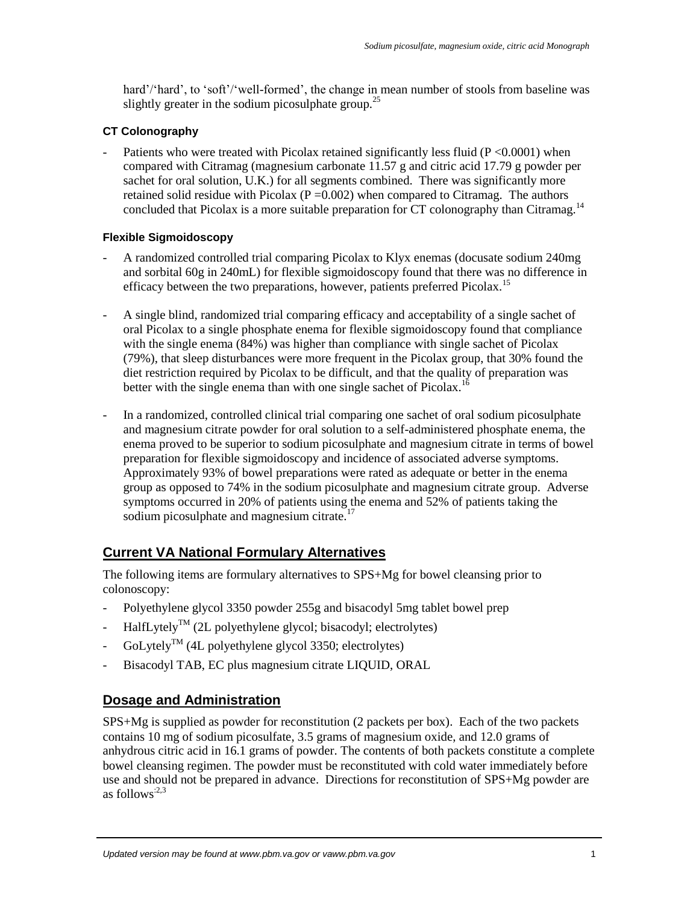hard'/'hard', to 'soft'/'well-formed', the change in mean number of stools from baseline was slightly greater in the sodium picosulphate group.<sup>25</sup>

#### **CT Colonography**

Patients who were treated with Picolax retained significantly less fluid (P <0.0001) when compared with Citramag (magnesium carbonate 11.57 g and citric acid 17.79 g powder per sachet for oral solution, U.K.) for all segments combined. There was significantly more retained solid residue with Picolax ( $P = 0.002$ ) when compared to Citramag. The authors concluded that Picolax is a more suitable preparation for CT colonography than Citramag.<sup>[14](#page-1-6)</sup>

#### **Flexible Sigmoidoscopy**

- A randomized controlled trial comparing Picolax to Klyx enemas (docusate sodium 240mg and sorbital 60g in 240mL) for flexible sigmoidoscopy found that there was no difference in efficacy between the two preparations, however, patients preferred Picolax.<sup>[15](#page-1-7)</sup>
- A single blind, randomized trial comparing efficacy and acceptability of a single sachet of oral Picolax to a single phosphate enema for flexible sigmoidoscopy found that compliance with the single enema (84%) was higher than compliance with single sachet of Picolax (79%), that sleep disturbances were more frequent in the Picolax group, that 30% found the diet restriction required by Picolax to be difficult, and that the quality of preparation was better with the single enema than with one single sachet of Picolax.<sup>[16](#page-1-8)</sup>
- In a randomized, controlled clinical trial comparing one sachet of oral sodium picosulphate and magnesium citrate powder for oral solution to a self-administered phosphate enema, the enema proved to be superior to sodium picosulphate and magnesium citrate in terms of bowel preparation for flexible sigmoidoscopy and incidence of associated adverse symptoms. Approximately 93% of bowel preparations were rated as adequate or better in the enema group as opposed to 74% in the sodium picosulphate and magnesium citrate group. Adverse symptoms occurred in 20% of patients using the enema and 52% of patients taking the sodium picosulphate and magnesium citrate.<sup>[17](#page-1-9)</sup>

## **Current VA National Formulary Alternatives**

The following items are formulary alternatives to SPS+Mg for bowel cleansing prior to colonoscopy:

- Polyethylene glycol 3350 powder 255g and bisacodyl 5mg tablet bowel prep
- $\text{HalfLytely}^{\text{TM}}$  (2L polyethylene glycol; bisacodyl; electrolytes)
- $\text{GoLytely}^{\text{TM}}$  (4L polyethylene glycol 3350; electrolytes)
- Bisacodyl TAB, EC plus magnesium citrate LIQUID, ORAL

### **Dosage and Administration**

SPS+Mg is supplied as powder for reconstitution (2 packets per box). Each of the two packets contains 10 mg of sodium picosulfate, 3.5 grams of magnesium oxide, and 12.0 grams of anhydrous citric acid in 16.1 grams of powder. The contents of both packets constitute a complete bowel cleansing regimen. The powder must be reconstituted with cold water immediately before use and should not be prepared in advance. Directions for reconstitution of SPS+Mg powder are as follows<sup> $:2,3$  $:2,3$ </sup>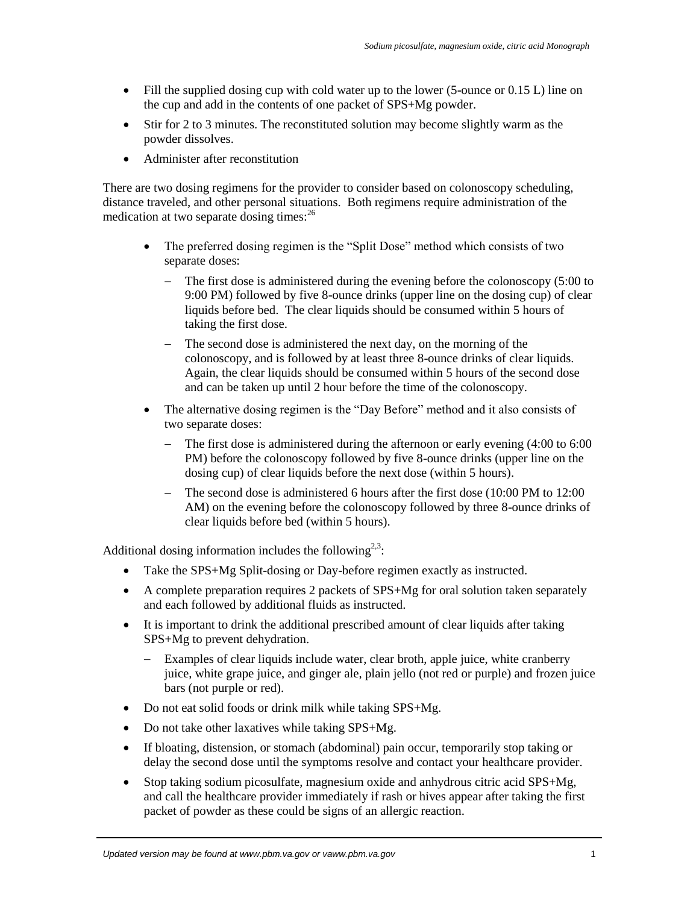- Fill the supplied dosing cup with cold water up to the lower (5-ounce or  $0.15$  L) line on the cup and add in the contents of one packet of SPS+Mg powder.
- Stir for 2 to 3 minutes. The reconstituted solution may become slightly warm as the powder dissolves.
- Administer after reconstitution

There are two dosing regimens for the provider to consider based on colonoscopy scheduling, distance traveled, and other personal situations. Both regimens require administration of the medication at two separate dosing times:<sup>26</sup>

- The preferred dosing regimen is the "Split Dose" method which consists of two separate doses:
	- The first dose is administered during the evening before the colonoscopy (5:00 to 9:00 PM) followed by five 8-ounce drinks (upper line on the dosing cup) of clear liquids before bed. The clear liquids should be consumed within 5 hours of taking the first dose.
	- The second dose is administered the next day, on the morning of the colonoscopy, and is followed by at least three 8-ounce drinks of clear liquids. Again, the clear liquids should be consumed within 5 hours of the second dose and can be taken up until 2 hour before the time of the colonoscopy.
- The alternative dosing regimen is the "Day Before" method and it also consists of two separate doses:
	- $\blacksquare$  The first dose is administered during the afternoon or early evening (4:00 to 6:00) PM) before the colonoscopy followed by five 8-ounce drinks (upper line on the dosing cup) of clear liquids before the next dose (within 5 hours).
	- The second dose is administered 6 hours after the first dose (10:00 PM to 12:00 AM) on the evening before the colonoscopy followed by three 8-ounce drinks of clear liquids before bed (within 5 hours).

Additional dosing information includes the following<sup>[2,](#page-0-0)[3](#page-0-1)</sup>:

- Take the SPS+Mg Split-dosing or Day-before regimen exactly as instructed.
- A complete preparation requires 2 packets of SPS+Mg for oral solution taken separately and each followed by additional fluids as instructed.
- It is important to drink the additional prescribed amount of clear liquids after taking SPS+Mg to prevent dehydration.
	- Examples of clear liquids include water, clear broth, apple juice, white cranberry juice, white grape juice, and ginger ale, plain jello (not red or purple) and frozen juice bars (not purple or red).
- Do not eat solid foods or drink milk while taking SPS+Mg.
- Do not take other laxatives while taking SPS+Mg.
- If bloating, distension, or stomach (abdominal) pain occur, temporarily stop taking or delay the second dose until the symptoms resolve and contact your healthcare provider.
- Stop taking sodium picosulfate, magnesium oxide and anhydrous citric acid SPS+Mg, and call the healthcare provider immediately if rash or hives appear after taking the first packet of powder as these could be signs of an allergic reaction.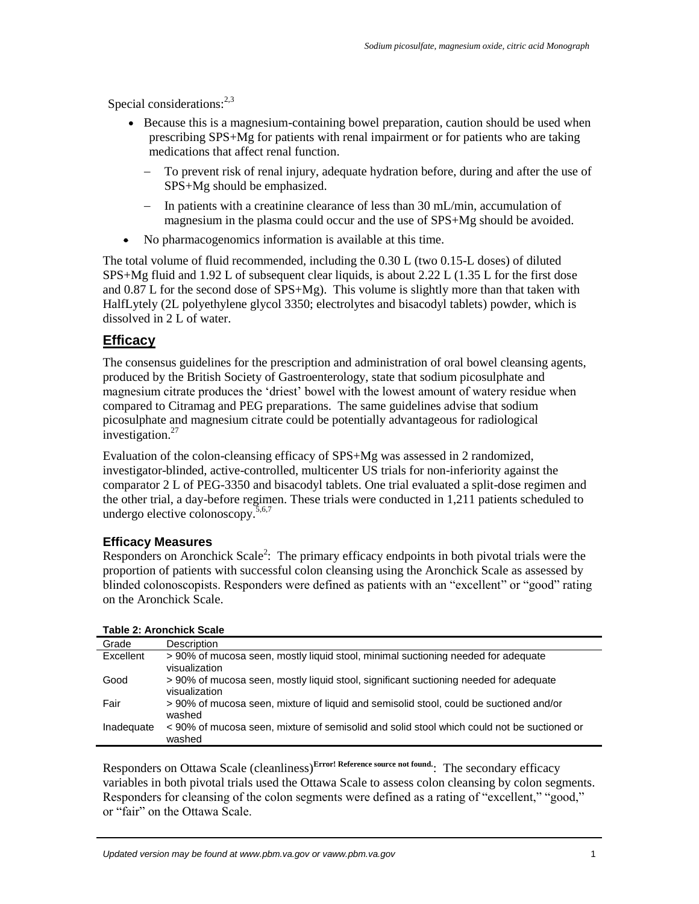Special considerations: $2,3$  $2,3$ 

- Because this is a magnesium-containing bowel preparation, caution should be used when prescribing SPS+Mg for patients with renal impairment or for patients who are taking medications that affect renal function.
	- To prevent risk of renal injury, adequate hydration before, during and after the use of SPS+Mg should be emphasized.
	- In patients with a creatinine clearance of less than  $30 \text{ mL/min}$ , accumulation of magnesium in the plasma could occur and the use of SPS+Mg should be avoided.
- No pharmacogenomics information is available at this time.

The total volume of fluid recommended, including the 0.30 L (two 0.15-L doses) of diluted SPS+Mg fluid and 1.92 L of subsequent clear liquids, is about 2.22 L (1.35 L for the first dose and 0.87 L for the second dose of SPS+Mg). This volume is slightly more than that taken with HalfLytely (2L polyethylene glycol 3350; electrolytes and bisacodyl tablets) powder, which is dissolved in 2 L of water.

### **Efficacy**

The consensus guidelines for the prescription and administration of oral bowel cleansing agents, produced by the British Society of Gastroenterology, state that sodium picosulphate and magnesium citrate produces the 'driest' bowel with the lowest amount of watery residue when compared to Citramag and PEG preparations. The same guidelines advise that sodium picosulphate and magnesium citrate could be potentially advantageous for radiological investigation.<sup>27</sup>

Evaluation of the colon-cleansing efficacy of SPS+Mg was assessed in 2 randomized, investigator-blinded, active-controlled, multicenter US trials for non-inferiority against the comparator 2 L of PEG-3350 and bisacodyl tablets. One trial evaluated a split-dose regimen and the other trial, a day-before regimen. These trials were conducted in 1,211 patients scheduled to undergo elective colonoscopy. $5,6,7$  $5,6,7$  $5,6,7$ 

### **Efficacy Measures**

Responders on Aronchick Scale<sup>2</sup>[:](#page-0-0) The primary efficacy endpoints in both pivotal trials were the proportion of patients with successful colon cleansing using the Aronchick Scale as assessed by blinded colonoscopists. Responders were defined as patients with an "excellent" or "good" rating on the Aronchick Scale.

| Grade      | <b>Description</b>                                                                                     |
|------------|--------------------------------------------------------------------------------------------------------|
| Excellent  | > 90% of mucosa seen, mostly liquid stool, minimal suctioning needed for adequate<br>visualization     |
| Good       | > 90% of mucosa seen, mostly liquid stool, significant suctioning needed for adequate<br>visualization |
| Fair       | >90% of mucosa seen, mixture of liquid and semisolid stool, could be suctioned and/or<br>washed        |
| Inadequate | < 90% of mucosa seen, mixture of semisolid and solid stool which could not be suctioned or<br>washed   |

**Table 2: Aronchick Scale**

Responders on Ottawa Scale (cleanliness)**Error! Reference source not found.**: The secondary efficacy variables in both pivotal trials used the Ottawa Scale to assess colon cleansing by colon segments. Responders for cleansing of the colon segments were defined as a rating of "excellent," "good," or "fair" on the Ottawa Scale.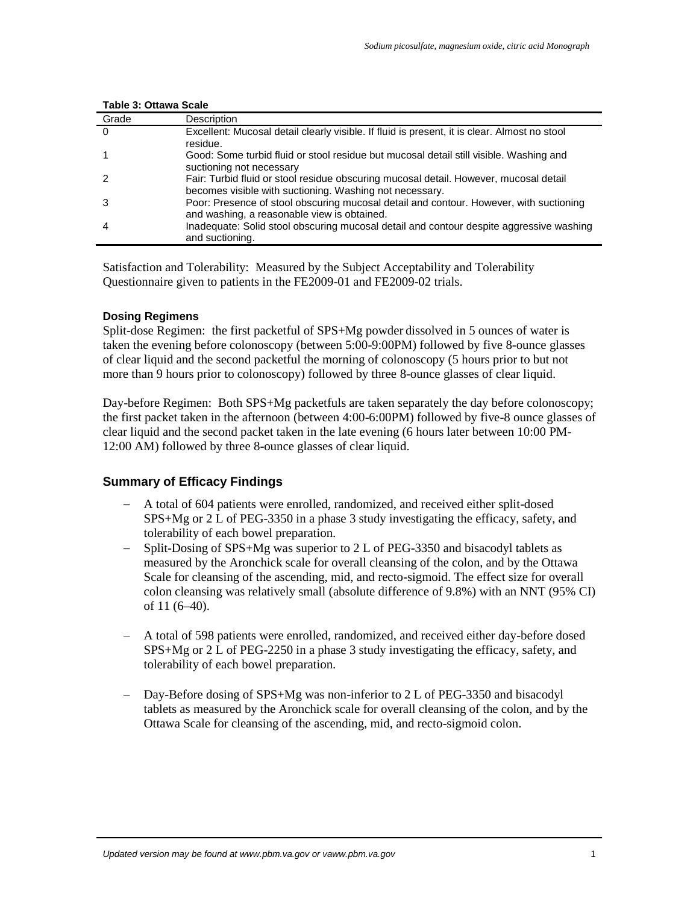| Grade    | Description                                                                                                                                      |
|----------|--------------------------------------------------------------------------------------------------------------------------------------------------|
| $\Omega$ | Excellent: Mucosal detail clearly visible. If fluid is present, it is clear. Almost no stool<br>residue.                                         |
|          | Good: Some turbid fluid or stool residue but mucosal detail still visible. Washing and<br>suctioning not necessary                               |
|          | Fair: Turbid fluid or stool residue obscuring mucosal detail. However, mucosal detail<br>becomes visible with suctioning. Washing not necessary. |
|          | Poor: Presence of stool obscuring mucosal detail and contour. However, with suctioning<br>and washing, a reasonable view is obtained.            |
| 4        | Inadequate: Solid stool obscuring mucosal detail and contour despite aggressive washing<br>and suctioning.                                       |

#### **Table 3: Ottawa Scale**

Satisfaction and Tolerability: Measured by the Subject Acceptability and Tolerability Questionnaire given to patients in the FE2009-01 and FE2009-02 trials.

#### **Dosing Regimens**

Split-dose Regimen: the first packetful of SPS+Mg powder dissolved in 5 ounces of water is taken the evening before colonoscopy (between 5:00-9:00PM) followed by five 8-ounce glasses of clear liquid and the second packetful the morning of colonoscopy (5 hours prior to but not more than 9 hours prior to colonoscopy) followed by three 8-ounce glasses of clear liquid.

Day-before Regimen: Both SPS+Mg packetfuls are taken separately the day before colonoscopy; the first packet taken in the afternoon (between 4:00-6:00PM) followed by five-8 ounce glasses of clear liquid and the second packet taken in the late evening (6 hours later between 10:00 PM-12:00 AM) followed by three 8-ounce glasses of clear liquid.

#### **Summary of Efficacy Findings**

- A total of 604 patients were enrolled, randomized, and received either split-dosed SPS+Mg or 2 L of PEG-3350 in a phase 3 study investigating the efficacy, safety, and tolerability of each bowel preparation.
- Split-Dosing of SPS+Mg was superior to 2 L of PEG-3350 and bisacodyl tablets as measured by the Aronchick scale for overall cleansing of the colon, and by the Ottawa Scale for cleansing of the ascending, mid, and recto-sigmoid. The effect size for overall colon cleansing was relatively small (absolute difference of 9.8%) with an NNT (95% CI) of 11 (6–40).
- A total of 598 patients were enrolled, randomized, and received either day-before dosed SPS+Mg or 2 L of PEG-2250 in a phase 3 study investigating the efficacy, safety, and tolerability of each bowel preparation.
- Day-Before dosing of SPS+Mg was non-inferior to 2 L of PEG-3350 and bisacodyl tablets as measured by the Aronchick scale for overall cleansing of the colon, and by the Ottawa Scale for cleansing of the ascending, mid, and recto-sigmoid colon.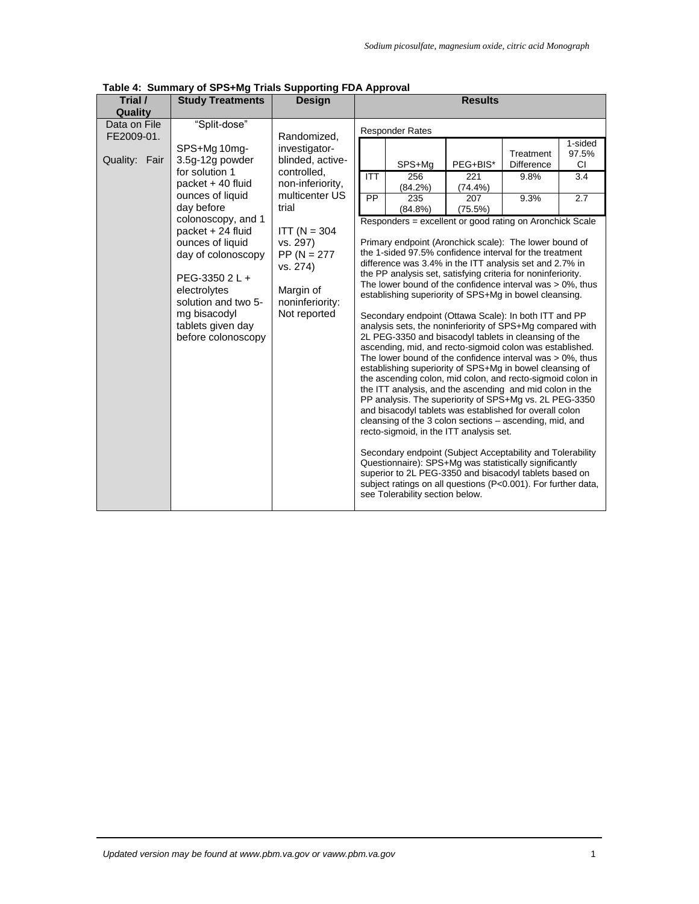| <b>Results</b><br>Trial /<br><b>Study Treatments</b><br><b>Design</b><br>Quality<br>"Split-dose"<br>Data on File<br><b>Responder Rates</b><br>FE2009-01.<br>Randomized,<br>SPS+Mg 10mg-<br>investigator-<br>97.5%<br>Treatment<br>3.5g-12g powder<br>blinded, active-<br>Quality: Fair<br>SPS+Mg<br>PEG+BIS*<br><b>Difference</b><br>CI.<br>for solution 1<br>controlled,<br><b>ITT</b><br>256<br>221<br>9.8%<br>3.4<br>packet + 40 fluid<br>non-inferiority,<br>(84.2%)<br>(74.4%)<br>multicenter US<br>ounces of liquid<br>$\overline{PP}$<br>9.3%<br>2.7<br>235<br>207<br>day before<br>trial<br>$(84.8\%)$<br>(75.5%)<br>colonoscopy, and 1<br>Responders = excellent or good rating on Aronchick Scale<br>$ITT (N = 304)$<br>packet + 24 fluid<br>ounces of liquid<br>vs. 297)<br>Primary endpoint (Aronchick scale): The lower bound of<br>the 1-sided 97.5% confidence interval for the treatment<br>day of colonoscopy<br>$PP (N = 277)$<br>difference was 3.4% in the ITT analysis set and 2.7% in<br>vs. 274)<br>the PP analysis set, satisfying criteria for noninferiority.<br>PEG-3350 2 L +<br>The lower bound of the confidence interval was $> 0\%$ , thus<br>Margin of<br>electrolytes<br>establishing superiority of SPS+Mg in bowel cleansing.<br>solution and two 5-<br>noninferiority:<br>mg bisacodyl<br>Not reported<br>Secondary endpoint (Ottawa Scale): In both ITT and PP<br>tablets given day<br>analysis sets, the noninferiority of SPS+Mg compared with<br>2L PEG-3350 and bisacodyl tablets in cleansing of the<br>before colonoscopy<br>ascending, mid, and recto-sigmoid colon was established.<br>The lower bound of the confidence interval was $> 0\%$ , thus<br>establishing superiority of SPS+Mg in bowel cleansing of<br>the ascending colon, mid colon, and recto-sigmoid colon in<br>the ITT analysis, and the ascending and mid colon in the<br>PP analysis. The superiority of SPS+Mg vs. 2L PEG-3350<br>and bisacodyl tablets was established for overall colon<br>cleansing of the 3 colon sections – ascending, mid, and<br>recto-sigmoid, in the ITT analysis set.<br>Secondary endpoint (Subject Acceptability and Tolerability<br>Questionnaire): SPS+Mg was statistically significantly<br>superior to 2L PEG-3350 and bisacodyl tablets based on<br>subject ratings on all questions (P<0.001). For further data,<br>see Tolerability section below. | Table 4: Summary of SPS+Mg Trials Supporting FDA Approval |  |  |         |
|-----------------------------------------------------------------------------------------------------------------------------------------------------------------------------------------------------------------------------------------------------------------------------------------------------------------------------------------------------------------------------------------------------------------------------------------------------------------------------------------------------------------------------------------------------------------------------------------------------------------------------------------------------------------------------------------------------------------------------------------------------------------------------------------------------------------------------------------------------------------------------------------------------------------------------------------------------------------------------------------------------------------------------------------------------------------------------------------------------------------------------------------------------------------------------------------------------------------------------------------------------------------------------------------------------------------------------------------------------------------------------------------------------------------------------------------------------------------------------------------------------------------------------------------------------------------------------------------------------------------------------------------------------------------------------------------------------------------------------------------------------------------------------------------------------------------------------------------------------------------------------------------------------------------------------------------------------------------------------------------------------------------------------------------------------------------------------------------------------------------------------------------------------------------------------------------------------------------------------------------------------------------------------------------------------------------------------------------------------------------------------------------------------------|-----------------------------------------------------------|--|--|---------|
|                                                                                                                                                                                                                                                                                                                                                                                                                                                                                                                                                                                                                                                                                                                                                                                                                                                                                                                                                                                                                                                                                                                                                                                                                                                                                                                                                                                                                                                                                                                                                                                                                                                                                                                                                                                                                                                                                                                                                                                                                                                                                                                                                                                                                                                                                                                                                                                                           |                                                           |  |  |         |
|                                                                                                                                                                                                                                                                                                                                                                                                                                                                                                                                                                                                                                                                                                                                                                                                                                                                                                                                                                                                                                                                                                                                                                                                                                                                                                                                                                                                                                                                                                                                                                                                                                                                                                                                                                                                                                                                                                                                                                                                                                                                                                                                                                                                                                                                                                                                                                                                           |                                                           |  |  |         |
|                                                                                                                                                                                                                                                                                                                                                                                                                                                                                                                                                                                                                                                                                                                                                                                                                                                                                                                                                                                                                                                                                                                                                                                                                                                                                                                                                                                                                                                                                                                                                                                                                                                                                                                                                                                                                                                                                                                                                                                                                                                                                                                                                                                                                                                                                                                                                                                                           |                                                           |  |  | 1-sided |
|                                                                                                                                                                                                                                                                                                                                                                                                                                                                                                                                                                                                                                                                                                                                                                                                                                                                                                                                                                                                                                                                                                                                                                                                                                                                                                                                                                                                                                                                                                                                                                                                                                                                                                                                                                                                                                                                                                                                                                                                                                                                                                                                                                                                                                                                                                                                                                                                           |                                                           |  |  |         |

**Table 4: Summary of SPS+Mg Trials Supporting FDA Approval**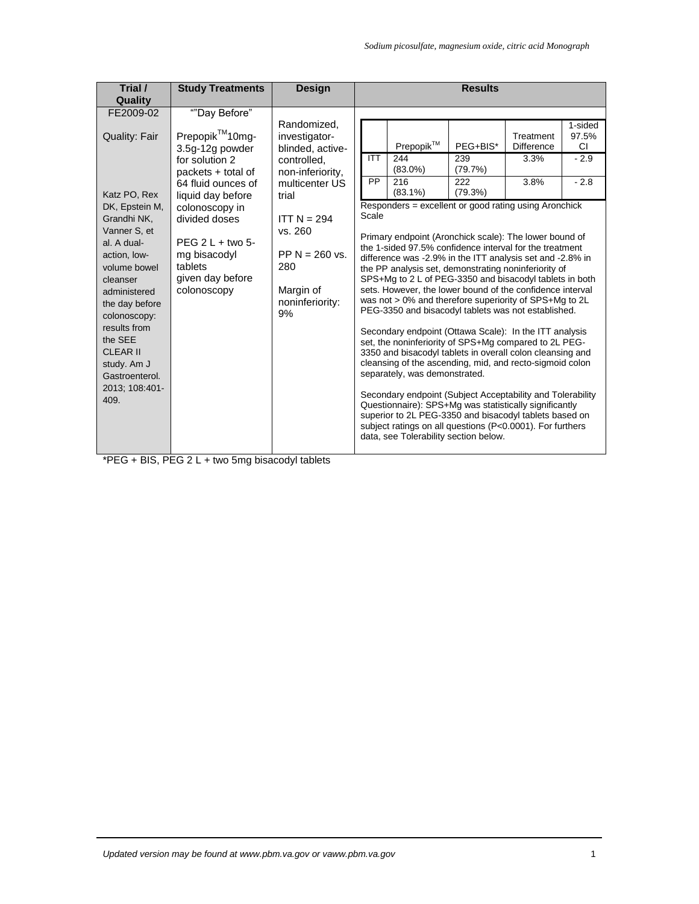| Trial /<br>Quality                                                                                                                                                                                                                                                                                                       | <b>Study Treatments</b>                                                                                                                                                                                                                                      | <b>Design</b>                                                                                                                                                                                               | <b>Results</b>                                                                                                                                                                                                                                                                                                                                                                                                                                                                                                                                                                                                                                                                                                                                                                                                                                                                                                                                                                                                                                                                                                                                                                                                                                                                                                                                            |
|--------------------------------------------------------------------------------------------------------------------------------------------------------------------------------------------------------------------------------------------------------------------------------------------------------------------------|--------------------------------------------------------------------------------------------------------------------------------------------------------------------------------------------------------------------------------------------------------------|-------------------------------------------------------------------------------------------------------------------------------------------------------------------------------------------------------------|-----------------------------------------------------------------------------------------------------------------------------------------------------------------------------------------------------------------------------------------------------------------------------------------------------------------------------------------------------------------------------------------------------------------------------------------------------------------------------------------------------------------------------------------------------------------------------------------------------------------------------------------------------------------------------------------------------------------------------------------------------------------------------------------------------------------------------------------------------------------------------------------------------------------------------------------------------------------------------------------------------------------------------------------------------------------------------------------------------------------------------------------------------------------------------------------------------------------------------------------------------------------------------------------------------------------------------------------------------------|
| FE2009-02<br><b>Quality: Fair</b><br>Katz PO, Rex<br>DK, Epstein M,<br>Grandhi NK,<br>Vanner S. et<br>al. A dual-<br>action, low-<br>volume bowel<br>cleanser<br>administered<br>the day before<br>colonoscopy:<br>results from<br>the SEE<br><b>CLEAR II</b><br>study. Am J<br>Gastroenterol.<br>2013; 108:401-<br>409. | ""Day Before"<br>Prepopik™10mg-<br>3.5g-12g powder<br>for solution 2<br>packets + total of<br>64 fluid ounces of<br>liquid day before<br>colonoscopy in<br>divided doses<br>$PEG 2 L + two 5-$<br>mg bisacodyl<br>tablets<br>given day before<br>colonoscopy | Randomized,<br>investigator-<br>blinded, active-<br>controlled.<br>non-inferiority,<br>multicenter US<br>trial<br>$ITT N = 294$<br>vs. 260<br>PP $N = 260$ vs.<br>280<br>Margin of<br>noninferiority:<br>9% | 1-sided<br>Treatment<br>97.5%<br>Prepopik™<br>PEG+BIS*<br><b>Difference</b><br>CI.<br><b>ITT</b><br>244<br>239<br>$-2.9$<br>3.3%<br>$(83.0\%)$<br>(79.7%)<br>$-2.8$<br><b>PP</b><br>216<br>222<br>3.8%<br>$(83.1\%)$<br>(79.3%)<br>Responders = excellent or good rating using Aronchick<br>Scale<br>Primary endpoint (Aronchick scale): The lower bound of<br>the 1-sided 97.5% confidence interval for the treatment<br>difference was -2.9% in the ITT analysis set and -2.8% in<br>the PP analysis set, demonstrating noninferiority of<br>SPS+Mg to 2 L of PEG-3350 and bisacodyl tablets in both<br>sets. However, the lower bound of the confidence interval<br>was not > 0% and therefore superiority of SPS+Mg to 2L<br>PEG-3350 and bisacodyl tablets was not established.<br>Secondary endpoint (Ottawa Scale): In the ITT analysis<br>set, the noninferiority of SPS+Mg compared to 2L PEG-<br>3350 and bisacodyl tablets in overall colon cleansing and<br>cleansing of the ascending, mid, and recto-sigmoid colon<br>separately, was demonstrated.<br>Secondary endpoint (Subject Acceptability and Tolerability<br>Questionnaire): SPS+Mg was statistically significantly<br>superior to 2L PEG-3350 and bisacodyl tablets based on<br>subject ratings on all questions (P<0.0001). For furthers<br>data, see Tolerability section below. |

\*PEG + BIS, PEG 2 L + two 5mg bisacodyl tablets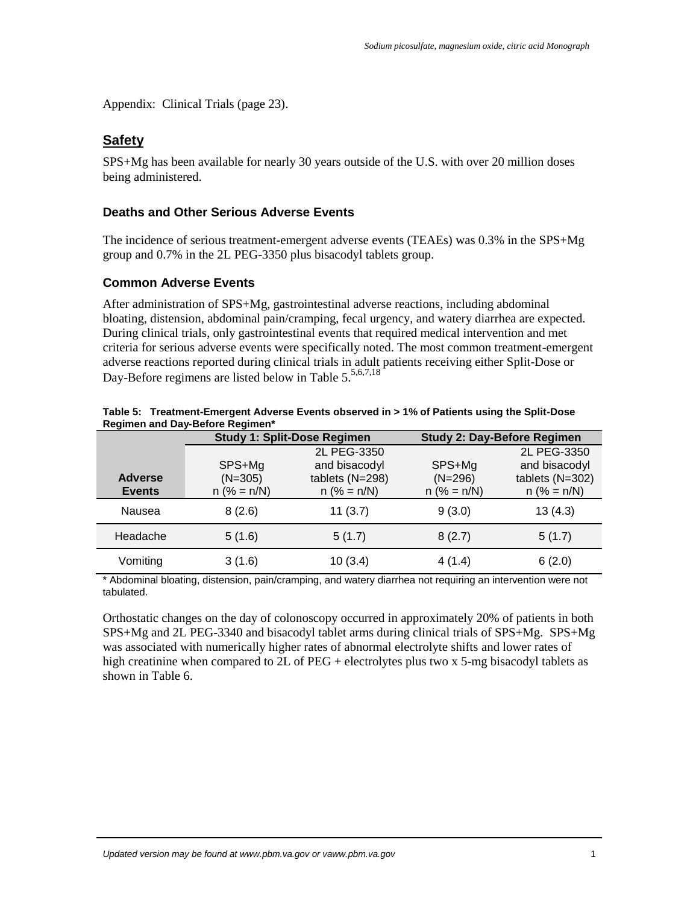[Appendix: Clinical Trials](#page-18-1) (page 23).

## **Safety**

SPS+Mg has been available for nearly 30 years outside of the U.S. with over 20 million doses being administered.

### **Deaths and Other Serious Adverse Events**

The incidence of serious treatment-emergent adverse events (TEAEs) was 0.3% in the SPS+Mg group and 0.7% in the 2L PEG-3350 plus bisacodyl tablets group.

#### **Common Adverse Events**

After administration of SPS+Mg, gastrointestinal adverse reactions, including abdominal bloating, distension, abdominal pain/cramping, fecal urgency, and watery diarrhea are expected. During clinical trials, only gastrointestinal events that required medical intervention and met criteria for serious adverse events were specifically noted. The most common treatment-emergent adverse reactions reported during clinical trials in adult patients receiving either Split-Dose or Day-Before regimens are listed below in [Table 5.](#page-11-0)5,6,[7,18](#page-1-10)

|                | <b>Study 1: Split-Dose Regimen</b> |                  | <b>Study 2: Day-Before Regimen</b> |                  |  |
|----------------|------------------------------------|------------------|------------------------------------|------------------|--|
|                |                                    | 2L PEG-3350      |                                    | 2L PEG-3350      |  |
|                | SPS+Mg                             | and bisacodyl    | SPS+Mg                             | and bisacodyl    |  |
| <b>Adverse</b> | $(N=305)$                          | tablets (N=298)  | $(N=296)$                          | tablets (N=302)  |  |
| <b>Events</b>  | $n$ (% = $n/N$ )                   | $n$ (% = $n/N$ ) | $n$ (% = $n/N$ )                   | $n$ (% = $n/N$ ) |  |
| Nausea         | 8(2.6)                             | 11(3.7)          | 9(3.0)                             | 13(4.3)          |  |
| Headache       | 5(1.6)                             | 5(1.7)           | 8(2.7)                             | 5(1.7)           |  |
| Vomiting       | 3(1.6)                             | 10(3.4)          | 4(1.4)                             | 6(2.0)           |  |

<span id="page-11-0"></span>

| Table 5: Treatment-Emergent Adverse Events observed in > 1% of Patients using the Split-Dose |
|----------------------------------------------------------------------------------------------|
| <b>Regimen and Day-Before Regimen*</b>                                                       |

\* Abdominal bloating, distension, pain/cramping, and watery diarrhea not requiring an intervention were not tabulated.

Orthostatic changes on the day of colonoscopy occurred in approximately 20% of patients in both SPS+Mg and 2L PEG-3340 and bisacodyl tablet arms during clinical trials of SPS+Mg. SPS+Mg was associated with numerically higher rates of abnormal electrolyte shifts and lower rates of high creatinine when compared to 2L of PEG + electrolytes plus two x 5-mg bisacodyl tablets as shown in [Table 6.](#page-12-0)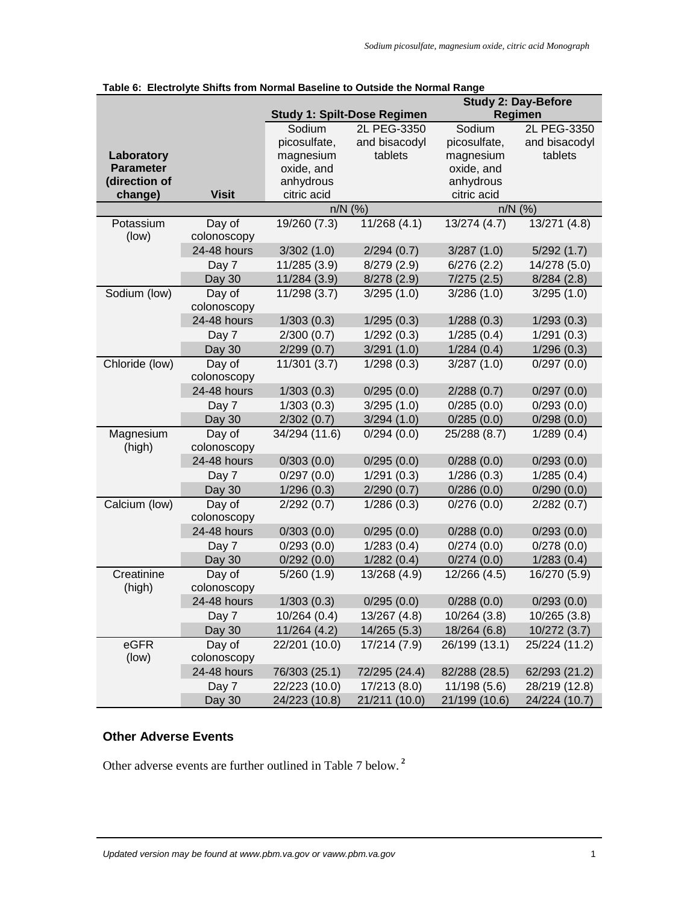|                  |                            |                            |                                    | <b>Study 2: Day-Before</b> |                          |  |
|------------------|----------------------------|----------------------------|------------------------------------|----------------------------|--------------------------|--|
|                  |                            |                            | <b>Study 1: Spilt-Dose Regimen</b> |                            | Regimen                  |  |
|                  |                            | Sodium                     | 2L PEG-3350                        | Sodium                     | 2L PEG-3350              |  |
|                  |                            | picosulfate,               | and bisacodyl                      | picosulfate,               | and bisacodyl            |  |
| Laboratory       |                            | magnesium                  | tablets                            | magnesium                  | tablets                  |  |
| <b>Parameter</b> |                            | oxide, and                 |                                    | oxide, and                 |                          |  |
| (direction of    |                            | anhydrous                  |                                    | anhydrous                  |                          |  |
| change)          | <b>Visit</b>               | citric acid                |                                    | citric acid                |                          |  |
|                  |                            |                            | $n/N$ (%)                          |                            | $n/N$ (%)                |  |
| Potassium        | Day of                     | 19/260 (7.3)               | 11/268(4.1)                        | 13/274 (4.7)               | 13/271 (4.8)             |  |
| (low)            | colonoscopy                |                            |                                    |                            |                          |  |
|                  | 24-48 hours                | 3/302(1.0)                 | 2/294(0.7)                         | 3/287(1.0)                 | 5/292(1.7)               |  |
|                  | Day 7                      | 11/285 (3.9)               | 8/279(2.9)                         | 6/276(2.2)                 | 14/278 (5.0)             |  |
|                  | Day 30                     | 11/284 (3.9)               | 8/278(2.9)                         | 7/275(2.5)                 | 8/284(2.8)               |  |
| Sodium (low)     | Day of                     | 11/298 (3.7)               | 3/295(1.0)                         | 3/286(1.0)                 | 3/295(1.0)               |  |
|                  | colonoscopy<br>24-48 hours | 1/303(0.3)                 | 1/295(0.3)                         | 1/288(0.3)                 |                          |  |
|                  |                            |                            |                                    |                            | 1/293(0.3)               |  |
|                  | Day 7                      | 2/300(0.7)                 | 1/292(0.3)<br>3/291(1.0)           | 1/285(0.4)                 | 1/291(0.3)               |  |
| Chloride (low)   | Day 30                     | 2/299(0.7)<br>11/301 (3.7) |                                    | 1/284(0.4)                 | 1/296(0.3)<br>0/297(0.0) |  |
|                  | Day of<br>colonoscopy      |                            | 1/298(0.3)                         | 3/287(1.0)                 |                          |  |
|                  | 24-48 hours                | 1/303(0.3)                 | 0/295(0.0)                         | 2/288(0.7)                 | 0/297(0.0)               |  |
|                  | Day 7                      | 1/303(0.3)                 | 3/295(1.0)                         | 0/285(0.0)                 | 0/293(0.0)               |  |
|                  | Day 30                     | 2/302(0.7)                 | 3/294(1.0)                         | 0/285(0.0)                 | 0/298(0.0)               |  |
| Magnesium        | Day of                     | 34/294 (11.6)              | 0/294(0.0)                         | 25/288 (8.7)               | 1/289(0.4)               |  |
| (high)           | colonoscopy                |                            |                                    |                            |                          |  |
|                  | 24-48 hours                | 0/303(0.0)                 | 0/295(0.0)                         | 0/288(0.0)                 | 0/293(0.0)               |  |
|                  | Day 7                      | 0/297(0.0)                 | 1/291(0.3)                         | 1/286(0.3)                 | 1/285(0.4)               |  |
|                  | <b>Day 30</b>              | 1/296(0.3)                 | 2/290(0.7)                         | 0/286(0.0)                 | 0/290(0.0)               |  |
| Calcium (low)    | Day of                     | 2/292(0.7)                 | 1/286(0.3)                         | 0/276(0.0)                 | 2/282(0.7)               |  |
|                  | colonoscopy                |                            |                                    |                            |                          |  |
|                  | 24-48 hours                | 0/303(0.0)                 | 0/295(0.0)                         | 0/288(0.0)                 | 0/293(0.0)               |  |
|                  | Day 7                      | 0/293(0.0)                 | 1/283(0.4)                         | 0/274(0.0)                 | 0/278(0.0)               |  |
|                  | Day 30                     | 0/292(0.0)                 | 1/282(0.4)                         | 0/274(0.0)                 | 1/283(0.4)               |  |
| Creatinine       | Day of                     | 5/260(1.9)                 | 13/268 (4.9)                       | 12/266 (4.5)               | 16/270 (5.9)             |  |
| (high)           | colonoscopy                |                            |                                    |                            |                          |  |
|                  | 24-48 hours                | 1/303(0.3)                 | 0/295(0.0)                         | 0/288(0.0)                 | 0/293(0.0)               |  |
|                  | Day 7                      | 10/264 (0.4)               | 13/267 (4.8)                       | 10/264 (3.8)               | 10/265 (3.8)             |  |
|                  | Day 30                     | 11/264 (4.2)               | 14/265(5.3)                        | 18/264 (6.8)               | 10/272 (3.7)             |  |
| eGFR             | Day of                     | 22/201 (10.0)              | 17/214 (7.9)                       | 26/199 (13.1)              | 25/224 (11.2)            |  |
| (low)            | colonoscopy                |                            |                                    |                            |                          |  |
|                  | 24-48 hours                | 76/303 (25.1)              | 72/295 (24.4)                      | 82/288 (28.5)              | 62/293 (21.2)            |  |
|                  | Day 7                      | 22/223 (10.0)              | 17/213 (8.0)                       | 11/198 (5.6)               | 28/219 (12.8)            |  |
|                  | Day 30                     | 24/223 (10.8)              | 21/211 (10.0)                      | 21/199 (10.6)              | 24/224 (10.7)            |  |

<span id="page-12-0"></span>

## **Other Adverse Events**

Other adverse events are further outlined in [Table 7](#page-13-0) below. **[2](#page-0-0)**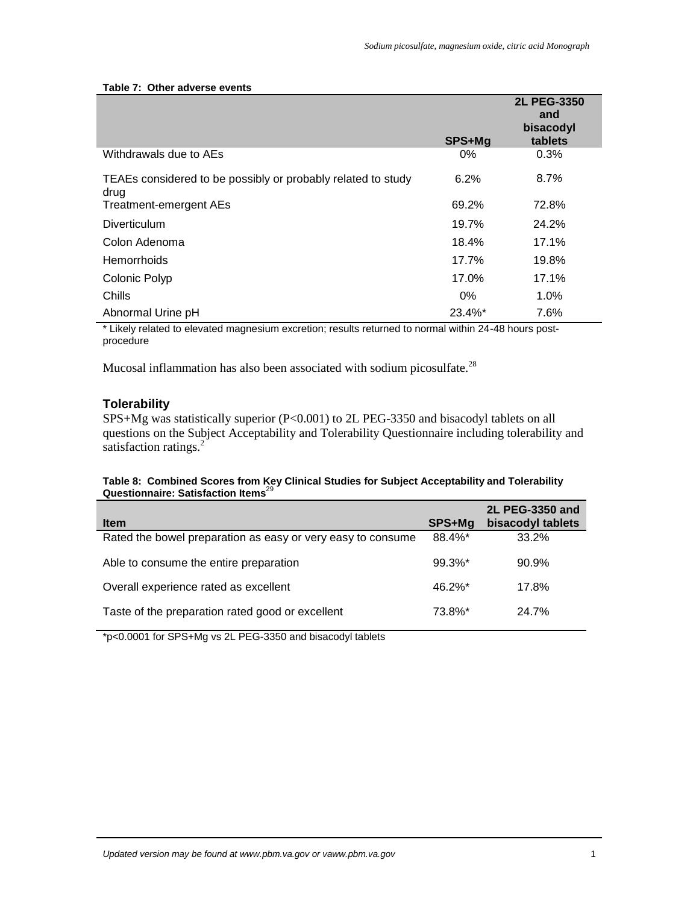#### <span id="page-13-0"></span>**Table 7: Other adverse events**

|                                                                      | SPS+Mg | 2L PEG-3350<br>and<br>bisacodyl<br>tablets |
|----------------------------------------------------------------------|--------|--------------------------------------------|
| Withdrawals due to AEs                                               | 0%     | 0.3%                                       |
| TEAEs considered to be possibly or probably related to study<br>drug | 6.2%   | 8.7%                                       |
| <b>Treatment-emergent AEs</b>                                        | 69.2%  | 72.8%                                      |
| Diverticulum                                                         | 19.7%  | 24.2%                                      |
| Colon Adenoma                                                        | 18.4%  | 17.1%                                      |
| <b>Hemorrhoids</b>                                                   | 17.7%  | 19.8%                                      |
| Colonic Polyp                                                        | 17.0%  | 17.1%                                      |
| Chills                                                               | 0%     | $1.0\%$                                    |
| Abnormal Urine pH                                                    | 23.4%* | 7.6%                                       |

\* Likely related to elevated magnesium excretion; results returned to normal within 24-48 hours postprocedure

Mucosal inflammation has also been associated with sodium picosulfate.<sup>28</sup>

### **Tolerability**

SPS+Mg was statistically superior (P<0.001) to 2L PEG-3350 and bisacodyl tablets on all questions on the Subject Acceptability and Tolerability Questionnaire including tolerability and satisfaction ratings[.](#page-0-0)<sup>2</sup>

#### **Table 8: Combined Scores from Key Clinical Studies for Subject Acceptability and Tolerability Questionnaire: Satisfaction Items**<sup>29</sup>

| <b>Item</b>                                                 | SPS+Mg                | 2L PEG-3350 and<br>bisacodyl tablets |
|-------------------------------------------------------------|-----------------------|--------------------------------------|
| Rated the bowel preparation as easy or very easy to consume | 88.4%*                | 33.2%                                |
| Able to consume the entire preparation                      | $99.3\%$ <sup>*</sup> | 90.9%                                |
| Overall experience rated as excellent                       | $46.2\%$ *            | 17.8%                                |
| Taste of the preparation rated good or excellent            | 73.8%*                | 24.7%                                |

\*p<0.0001 for SPS+Mg vs 2L PEG-3350 and bisacodyl tablets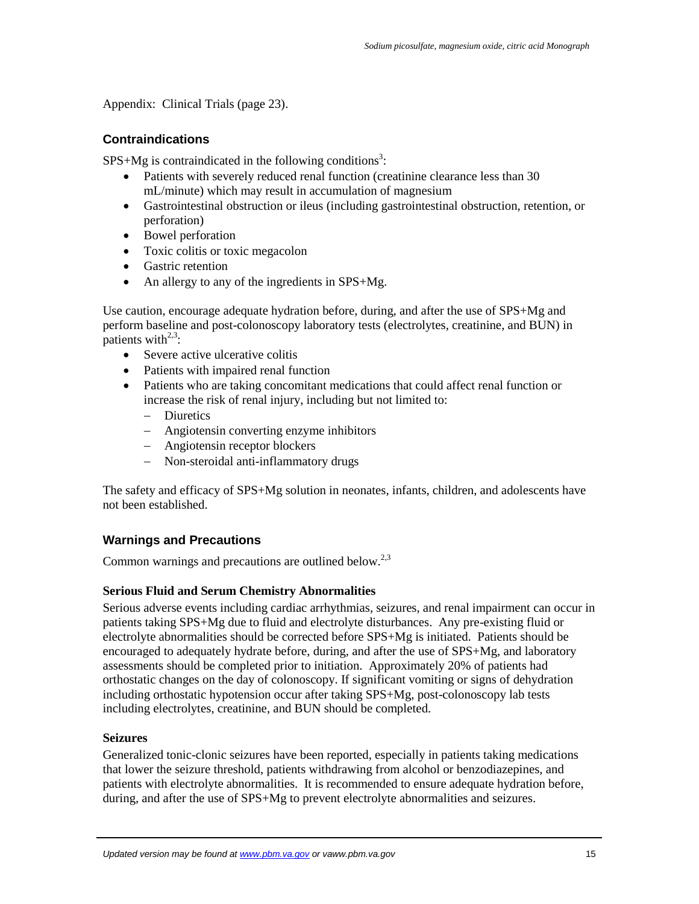[Appendix: Clinical Trials](#page-18-1) (page 23).

### **Contraindications**

 $SPS+Mg$  is contraindicated in the following conditions<sup>3</sup>[:](#page-0-1)

- Patients with severely reduced renal function (creatinine clearance less than 30 mL/minute) which may result in accumulation of magnesium
- Gastrointestinal obstruction or ileus (including gastrointestinal obstruction, retention, or perforation)
- Bowel perforation
- Toxic colitis or toxic megacolon
- Gastric retention
- An allergy to any of the ingredients in SPS+Mg.

Use caution, encourage adequate hydration before, during, and after the use of SPS+Mg and perform baseline and post-colonoscopy laboratory tests (electrolytes, creatinine, and BUN) in patients with $^{2,3}$  $^{2,3}$  $^{2,3}$  $^{2,3}$ :

- Severe active ulcerative colitis
- Patients with impaired renal function
- Patients who are taking concomitant medications that could affect renal function or increase the risk of renal injury, including but not limited to:
	- Diuretics
	- Angiotensin converting enzyme inhibitors
	- Angiotensin receptor blockers
	- Non-steroidal anti-inflammatory drugs

The safety and efficacy of SPS+Mg solution in neonates, infants, children, and adolescents have not been established.

### **Warnings and Precautions**

Common warnings and precautions are outlined below.<sup>[2,](#page-0-0)[3](#page-0-1)</sup>

#### **Serious Fluid and Serum Chemistry Abnormalities**

Serious adverse events including cardiac arrhythmias, seizures, and renal impairment can occur in patients taking SPS+Mg due to fluid and electrolyte disturbances. Any pre-existing fluid or electrolyte abnormalities should be corrected before SPS+Mg is initiated. Patients should be encouraged to adequately hydrate before, during, and after the use of SPS+Mg, and laboratory assessments should be completed prior to initiation. Approximately 20% of patients had orthostatic changes on the day of colonoscopy. If significant vomiting or signs of dehydration including orthostatic hypotension occur after taking SPS+Mg, post-colonoscopy lab tests including electrolytes, creatinine, and BUN should be completed.

#### **Seizures**

Generalized tonic-clonic seizures have been reported, especially in patients taking medications that lower the seizure threshold, patients withdrawing from alcohol or benzodiazepines, and patients with electrolyte abnormalities. It is recommended to ensure adequate hydration before, during, and after the use of SPS+Mg to prevent electrolyte abnormalities and seizures.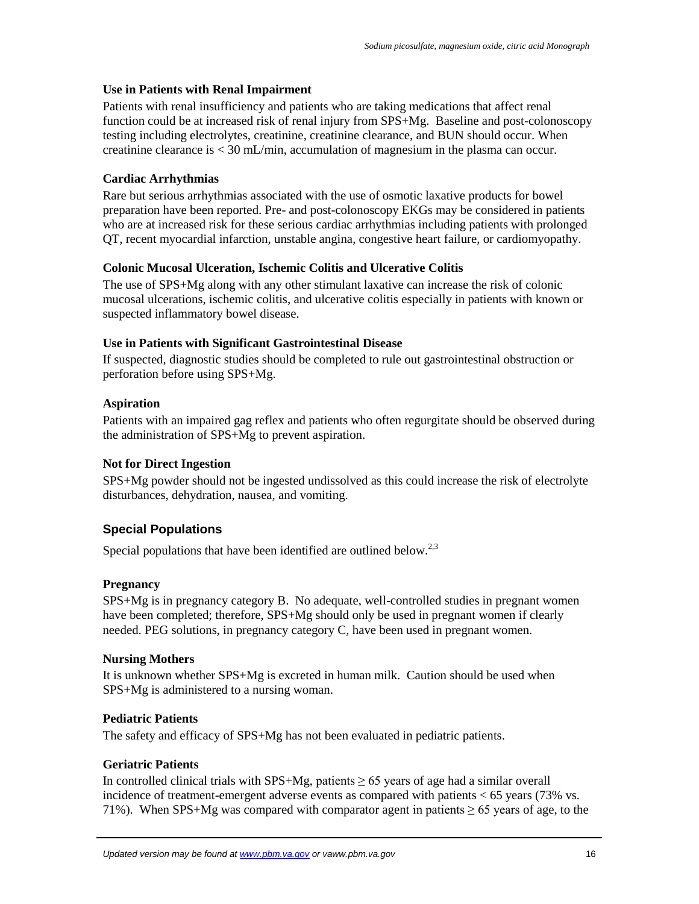#### **Use in Patients with Renal Impairment**

Patients with renal insufficiency and patients who are taking medications that affect renal function could be at increased risk of renal injury from SPS+Mg. Baseline and post-colonoscopy testing including electrolytes, creatinine, creatinine clearance, and BUN should occur. When creatinine clearance is < 30 mL/min, accumulation of magnesium in the plasma can occur.

#### **Cardiac Arrhythmias**

Rare but serious arrhythmias associated with the use of osmotic laxative products for bowel preparation have been reported. Pre- and post-colonoscopy EKGs may be considered in patients who are at increased risk for these serious cardiac arrhythmias including patients with prolonged QT, recent myocardial infarction, unstable angina, congestive heart failure, or cardiomyopathy.

#### **Colonic Mucosal Ulceration, Ischemic Colitis and Ulcerative Colitis**

The use of SPS+Mg along with any other stimulant laxative can increase the risk of colonic mucosal ulcerations, ischemic colitis, and ulcerative colitis especially in patients with known or suspected inflammatory bowel disease.

#### **Use in Patients with Significant Gastrointestinal Disease**

If suspected, diagnostic studies should be completed to rule out gastrointestinal obstruction or perforation before using SPS+Mg.

#### **Aspiration**

Patients with an impaired gag reflex and patients who often regurgitate should be observed during the administration of SPS+Mg to prevent aspiration.

#### **Not for Direct Ingestion**

SPS+Mg powder should not be ingested undissolved as this could increase the risk of electrolyte disturbances, dehydration, nausea, and vomiting.

#### **Special Populations**

Special populations that have been identified are outlined below.<sup>[2,](#page-0-0)[3](#page-0-1)</sup>

#### **Pregnancy**

SPS+Mg is in pregnancy category B. No adequate, well-controlled studies in pregnant women have been completed; therefore, SPS+Mg should only be used in pregnant women if clearly needed. PEG solutions, in pregnancy category C*,* have been used in pregnant women.

#### **Nursing Mothers**

It is unknown whether SPS+Mg is excreted in human milk. Caution should be used when SPS+Mg is administered to a nursing woman.

#### **Pediatric Patients**

The safety and efficacy of SPS+Mg has not been evaluated in pediatric patients.

#### **Geriatric Patients**

In controlled clinical trials with  $SPS+Mg$ , patients  $\geq 65$  years of age had a similar overall incidence of treatment-emergent adverse events as compared with patients < 65 years (73% vs. 71%). When SPS+Mg was compared with comparator agent in patients  $\geq 65$  years of age, to the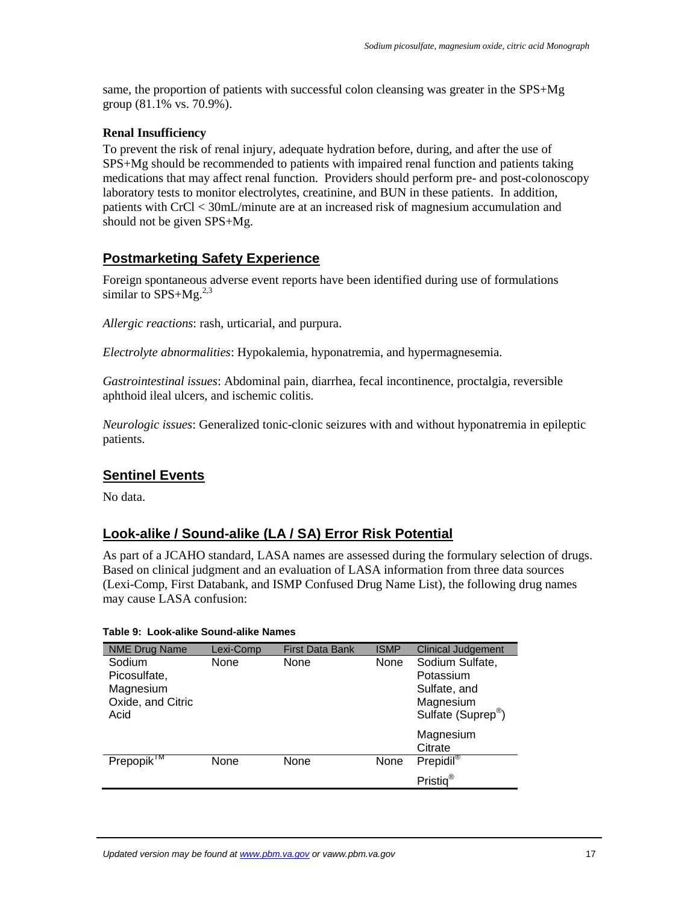same, the proportion of patients with successful colon cleansing was greater in the SPS+Mg group (81.1% vs. 70.9%).

#### **Renal Insufficiency**

To prevent the risk of renal injury, adequate hydration before, during, and after the use of SPS+Mg should be recommended to patients with impaired renal function and patients taking medications that may affect renal function. Providers should perform pre- and post-colonoscopy laboratory tests to monitor electrolytes, creatinine, and BUN in these patients. In addition, patients with CrCl < 30mL/minute are at an increased risk of magnesium accumulation and should not be given SPS+Mg.

## **Postmarketing Safety Experience**

Foreign spontaneous adverse event reports have been identified during use of formulations similar to  $SPS+Mg.<sup>2,3</sup>$  $SPS+Mg.<sup>2,3</sup>$  $SPS+Mg.<sup>2,3</sup>$  $SPS+Mg.<sup>2,3</sup>$ 

*Allergic reactions*: rash, urticarial, and purpura.

*Electrolyte abnormalities*: Hypokalemia, hyponatremia, and hypermagnesemia.

*Gastrointestinal issues*: Abdominal pain, diarrhea, fecal incontinence, proctalgia, reversible aphthoid ileal ulcers, and ischemic colitis.

*Neurologic issues*: Generalized tonic-clonic seizures with and without hyponatremia in epileptic patients.

## **Sentinel Events**

No data.

### **Look-alike / Sound-alike (LA / SA) Error Risk Potential**

As part of a JCAHO standard, LASA names are assessed during the formulary selection of drugs. Based on clinical judgment and an evaluation of LASA information from three data sources (Lexi-Comp, First Databank, and ISMP Confused Drug Name List), the following drug names may cause LASA confusion:

#### **Table 9: Look-alike Sound-alike Names**

| <b>NME Drug Name</b>                                             | Lexi-Comp | <b>First Data Bank</b> | <b>ISMP</b> | <b>Clinical Judgement</b>                                                                   |
|------------------------------------------------------------------|-----------|------------------------|-------------|---------------------------------------------------------------------------------------------|
| Sodium<br>Picosulfate,<br>Magnesium<br>Oxide, and Citric<br>Acid | None      | None                   | None        | Sodium Sulfate,<br>Potassium<br>Sulfate, and<br>Magnesium<br>Sulfate (Suprep <sup>®</sup> ) |
|                                                                  |           |                        |             | Magnesium<br>Citrate                                                                        |
| Prepopik $M$                                                     | None      | None                   | None        | $Prepidil^{\circledR}$                                                                      |
|                                                                  |           |                        |             | Pristiq <sup>®</sup>                                                                        |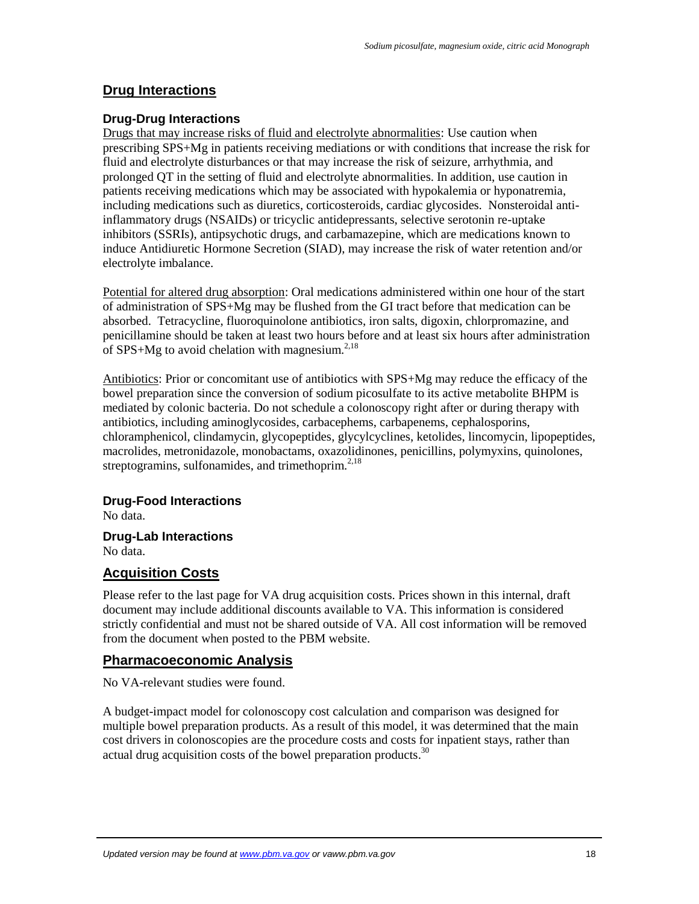### **Drug Interactions**

#### **Drug-Drug Interactions**

Drugs that may increase risks of fluid and electrolyte abnormalities: Use caution when prescribing SPS+Mg in patients receiving mediations or with conditions that increase the risk for fluid and electrolyte disturbances or that may increase the risk of seizure, arrhythmia, and prolonged QT in the setting of fluid and electrolyte abnormalities. In addition, use caution in patients receiving medications which may be associated with hypokalemia or hyponatremia, including medications such as diuretics, corticosteroids, cardiac glycosides. Nonsteroidal antiinflammatory drugs (NSAIDs) or tricyclic antidepressants, selective serotonin re-uptake inhibitors (SSRIs), antipsychotic drugs, and carbamazepine, which are medications known to induce Antidiuretic Hormone Secretion (SIAD), may increase the risk of water retention and/or electrolyte imbalance.

Potential for altered drug absorption: Oral medications administered within one hour of the start of administration of SPS+Mg may be flushed from the GI tract before that medication can be absorbed. Tetracycline, fluoroquinolone antibiotics, iron salts, digoxin, chlorpromazine, and penicillamine should be taken at least two hours before and at least six hours after administration of SPS+Mg to avoid chelation with magnesium.<sup>[2,](#page-0-0)[18](#page-1-10)</sup>

Antibiotics: Prior or concomitant use of antibiotics with SPS+Mg may reduce the efficacy of the bowel preparation since the conversion of sodium picosulfate to its active metabolite BHPM is mediated by colonic bacteria. Do not schedule a colonoscopy right after or during therapy with antibiotics, including aminoglycosides, carbacephems, carbapenems, cephalosporins, chloramphenicol, clindamycin, glycopeptides, glycylcyclines, ketolides, lincomycin, lipopeptides, macrolides, metronidazole, monobactams, oxazolidinones, penicillins, polymyxins, quinolones, streptogramins, sulfonamides, and trimethoprim. $2,18$  $2,18$ 

#### **Drug-Food Interactions**

No data.

## **Drug-Lab Interactions**

No data.

## **Acquisition Costs**

Please refer to the last page for VA drug acquisition costs. Prices shown in this internal, draft document may include additional discounts available to VA. This information is considered strictly confidential and must not be shared outside of VA. All cost information will be removed from the document when posted to the PBM website.

#### **Pharmacoeconomic Analysis**

No VA-relevant studies were found.

A budget-impact model for colonoscopy cost calculation and comparison was designed for multiple bowel preparation products. As a result of this model, it was determined that the main cost drivers in colonoscopies are the procedure costs and costs for inpatient stays, rather than actual drug acquisition costs of the bowel preparation products.<sup>30</sup>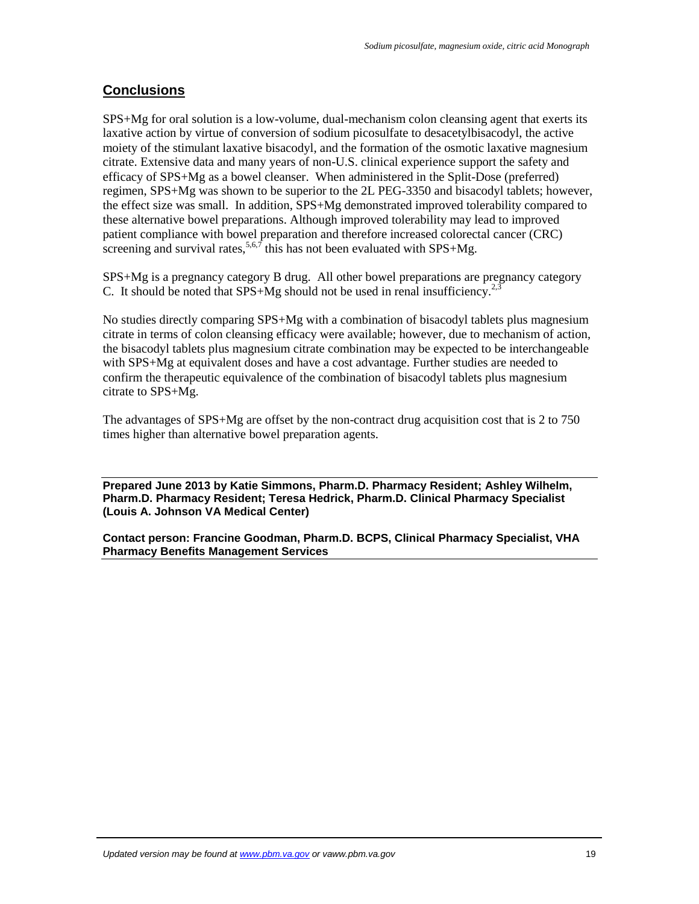## **Conclusions**

<span id="page-18-0"></span>SPS+Mg for oral solution is a low-volume, dual-mechanism colon cleansing agent that exerts its laxative action by virtue of conversion of sodium picosulfate to desacetylbisacodyl, the active moiety of the stimulant laxative bisacodyl, and the formation of the osmotic laxative magnesium citrate. Extensive data and many years of non-U.S. clinical experience support the safety and efficacy of SPS+Mg as a bowel cleanser. When administered in the Split-Dose (preferred) regimen, SPS+Mg was shown to be superior to the 2L PEG-3350 and bisacodyl tablets; however, the effect size was small. In addition, SPS+Mg demonstrated improved tolerability compared to these alternative bowel preparations. Although improved tolerability may lead to improved patient compliance with bowel preparation and therefore increased colorectal cancer (CRC) screening and survival rates,  $5.67$  this has not been evaluated with SPS+Mg.

SPS+Mg is a pregnancy category B drug. All other bowel preparations are pregnancy category C. It should be noted that  $SPS+Mg$  should not be used in renal insufficiency.<sup>[2,](#page-0-0)[3](#page-0-1)</sup>

No studies directly comparing SPS+Mg with a combination of bisacodyl tablets plus magnesium citrate in terms of colon cleansing efficacy were available; however, due to mechanism of action, the bisacodyl tablets plus magnesium citrate combination may be expected to be interchangeable with SPS+Mg at equivalent doses and have a cost advantage. Further studies are needed to confirm the therapeutic equivalence of the combination of bisacodyl tablets plus magnesium citrate to SPS+Mg.

The advantages of SPS+Mg are offset by the non-contract drug acquisition cost that is 2 to 750 times higher than alternative bowel preparation agents.

**Prepared [June](#page-0-7) 2013 by Katie Simmons, Pharm.D. Pharmacy Resident; Ashley Wilhelm, Pharm.D. Pharmacy Resident; Teresa Hedrick, Pharm.D. Clinical Pharmacy Specialist (Louis A. Johnson VA Medical Center)**

<span id="page-18-1"></span>**Contact person: Francine Goodman, Pharm.D. BCPS, Clinical Pharmacy Specialist, VHA Pharmacy Benefits Management Services**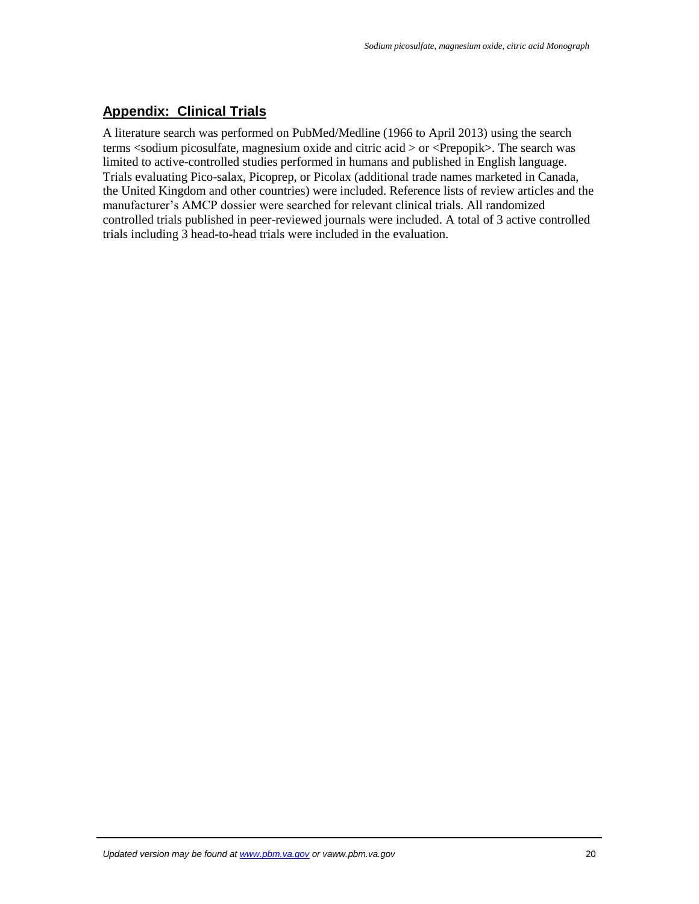## **Appendix: Clinical Trials**

A literature search was performed on PubMed/Medline (1966 to April 2013) using the search terms <sodium picosulfate, magnesium oxide and citric acid > or <Prepopik>. The search was limited to active-controlled studies performed in humans and published in English language. Trials evaluating Pico-salax, Picoprep, or Picolax (additional trade names marketed in Canada, the United Kingdom and other countries) were included. Reference lists of review articles and the manufacturer's AMCP dossier were searched for relevant clinical trials. All randomized controlled trials published in peer-reviewed journals were included. A total of 3 active controlled trials including 3 head-to-head trials were included in the evaluation.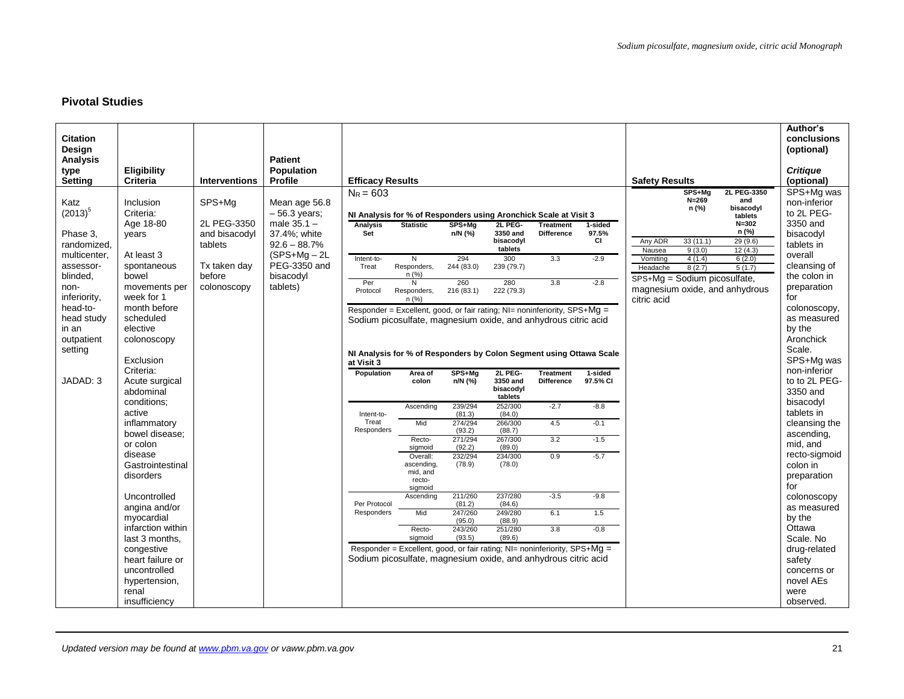### **Pivotal Studies**

| <b>Citation</b>       |                                |                        |                           |                                                                                  |                      |                   |                      |                   |          |                              |                     |                                | Author's<br>conclusions      |
|-----------------------|--------------------------------|------------------------|---------------------------|----------------------------------------------------------------------------------|----------------------|-------------------|----------------------|-------------------|----------|------------------------------|---------------------|--------------------------------|------------------------------|
| Design<br>Analysis    |                                |                        | <b>Patient</b>            |                                                                                  |                      |                   |                      |                   |          |                              |                     |                                | (optional)                   |
| type                  | <b>Eligibility</b>             |                        | Population                |                                                                                  |                      |                   |                      |                   |          |                              |                     |                                | <b>Critique</b>              |
| <b>Setting</b>        | Criteria                       | <b>Interventions</b>   | Profile                   | <b>Efficacy Results</b>                                                          |                      |                   |                      |                   |          | <b>Safety Results</b>        |                     |                                | (optional)                   |
| Katz                  | Inclusion                      | SPS+Ma                 | Mean age 56.8             | $N_R = 603$                                                                      |                      |                   |                      |                   |          |                              | SPS+Mg<br>$N=269$   | 2L PEG-3350<br>and             | SPS+Mg was<br>non-inferior   |
| $(2013)^5$            | Criteria:                      |                        | $-56.3$ years;            | NI Analysis for % of Responders using Aronchick Scale at Visit 3                 |                      |                   |                      |                   |          |                              | n (%)               | bisacodyl                      | to 2L PEG-                   |
|                       | Age 18-80                      | 2L PEG-3350            | male $35.1 -$             | <b>Analysis</b>                                                                  | <b>Statistic</b>     | SPS+Mg            | 2L PEG-              | <b>Treatment</b>  | 1-sided  |                              |                     | tablets<br>$N = 302$           | 3350 and                     |
| Phase 3.              | years                          | and bisacodyl          | 37.4%; white              | Set                                                                              |                      | n/N (%)           | 3350 and             | <b>Difference</b> | 97.5%    |                              |                     | n (%)                          | bisacodyl                    |
| randomized,           |                                | tablets                | $92.6 - 88.7%$            |                                                                                  |                      |                   | bisacodyl<br>tablets |                   | CI       | Any ADR<br>Nausea            | 33 (11.1)<br>9(3.0) | 29 (9.6)<br>12(4.3)            | tablets in                   |
| multicenter,          | At least 3                     |                        | $(SPS+Mq - 2L)$           | Intent-to-                                                                       | N                    | 294               | 300                  | 3.3               | $-2.9$   | Vomiting                     | 4(1.4)              | 6(2.0)                         | overall                      |
| assessor-<br>blinded. | spontaneous<br>bowel           | Tx taken day<br>before | PEG-3350 and<br>bisacodyl | Treat                                                                            | Responders,<br>n(%)  | 244 (83.0)        | 239 (79.7)           |                   |          | Headache                     | 8(2.7)              | 5(1.7)                         | cleansing of<br>the colon in |
| non-                  | movements per                  | colonoscopy            | tablets)                  | Per                                                                              | N                    | 260               | 280                  | 3.8               | $-2.8$   | SPS+Mg = Sodium picosulfate, |                     |                                | preparation                  |
| inferiority.          | week for 1                     |                        |                           | Protocol                                                                         | Responders,<br>n (%) | 216(83.1)         | 222 (79.3)           |                   |          | citric acid                  |                     | magnesium oxide, and anhydrous | for                          |
| head-to-              | month before                   |                        |                           | Responder = Excellent, good, or fair rating; $NI =$ noninferiority, $SPS + MQ =$ |                      |                   |                      |                   |          |                              |                     |                                | colonoscopy,                 |
| head study            | scheduled                      |                        |                           | Sodium picosulfate, magnesium oxide, and anhydrous citric acid                   |                      |                   |                      |                   |          |                              |                     |                                | as measured                  |
| in an                 | elective                       |                        |                           |                                                                                  |                      |                   |                      |                   |          |                              |                     |                                | by the                       |
| outpatient            | colonoscopy                    |                        |                           |                                                                                  |                      |                   |                      |                   |          |                              |                     |                                | Aronchick<br>Scale.          |
| setting               | Exclusion                      |                        |                           | NI Analysis for % of Responders by Colon Segment using Ottawa Scale              |                      |                   |                      |                   |          |                              |                     |                                | SPS+Mg was                   |
|                       | Criteria:                      |                        |                           | at Visit 3<br>Population                                                         | Area of              | SPS+Mg            | 2L PEG-              | <b>Treatment</b>  | 1-sided  |                              |                     |                                | non-inferior                 |
| JADAD: 3              | Acute surgical                 |                        |                           |                                                                                  | colon                | n/N (%)           | 3350 and             | <b>Difference</b> | 97.5% CI |                              |                     |                                | to to 2L PEG-                |
|                       | abdominal                      |                        |                           |                                                                                  |                      |                   | bisacodyl<br>tablets |                   |          |                              |                     |                                | 3350 and                     |
|                       | conditions:                    |                        |                           |                                                                                  | Ascending            | 239/294           | 252/300              | $-2.7$            | $-8.8$   |                              |                     |                                | bisacodyl                    |
|                       | active                         |                        |                           | Intent-to-<br>Treat                                                              | Mid                  | (81.3)            | (84.0)               | 4.5               |          |                              |                     |                                | tablets in                   |
|                       | inflammatory<br>bowel disease: |                        |                           | Responders                                                                       |                      | 274/294<br>(93.2) | 266/300<br>(88.7)    |                   | $-0.1$   |                              |                     |                                | cleansing the<br>ascending,  |
|                       | or colon                       |                        |                           |                                                                                  | Recto-               | 271/294           | 267/300              | 3.2               | $-1.5$   |                              |                     |                                | mid, and                     |
|                       | disease                        |                        |                           |                                                                                  | sigmoid<br>Overall:  | (92.2)<br>232/294 | (89.0)<br>234/300    | 0.9               | $-5.7$   |                              |                     |                                | recto-sigmoid                |
|                       | Gastrointestinal               |                        |                           |                                                                                  | ascending,           | (78.9)            | (78.0)               |                   |          |                              |                     |                                | colon in                     |
|                       | disorders                      |                        |                           |                                                                                  | mid, and<br>recto-   |                   |                      |                   |          |                              |                     |                                | preparation                  |
|                       |                                |                        |                           |                                                                                  | sigmoid              |                   |                      |                   |          |                              |                     |                                | for                          |
|                       | Uncontrolled<br>angina and/or  |                        |                           | Per Protocol                                                                     | Ascending            | 211/260<br>(81.2) | 237/280<br>(84.6)    | $-3.5$            | $-9.8$   |                              |                     |                                | colonoscopy<br>as measured   |
|                       | mvocardial                     |                        |                           | Responders                                                                       | Mid                  | 247/260           | 249/280              | 6.1               | 1.5      |                              |                     |                                | by the                       |
|                       | infarction within              |                        |                           |                                                                                  | Recto-               | (95.0)<br>243/260 | (88.9)<br>251/280    | 3.8               | $-0.8$   |                              |                     |                                | Ottawa                       |
|                       | last 3 months,                 |                        |                           |                                                                                  | siamoid              | (93.5)            | (89.6)               |                   |          |                              |                     |                                | Scale, No                    |
|                       | congestive                     |                        |                           | Responder = Excellent, good, or fair rating; NI= noninferiority, SPS+Mg =        |                      |                   |                      |                   |          |                              |                     |                                | drug-related                 |
|                       | heart failure or               |                        |                           | Sodium picosulfate, magnesium oxide, and anhydrous citric acid                   |                      |                   |                      |                   |          |                              |                     |                                | safety                       |
|                       | uncontrolled                   |                        |                           |                                                                                  |                      |                   |                      |                   |          |                              |                     |                                | concerns or                  |
|                       | hypertension,<br>renal         |                        |                           |                                                                                  |                      |                   |                      |                   |          |                              |                     |                                | novel AEs<br>were            |
|                       |                                |                        |                           |                                                                                  |                      |                   |                      |                   |          |                              |                     |                                |                              |
|                       | insufficiency                  |                        |                           |                                                                                  |                      |                   |                      |                   |          |                              |                     |                                | observed.                    |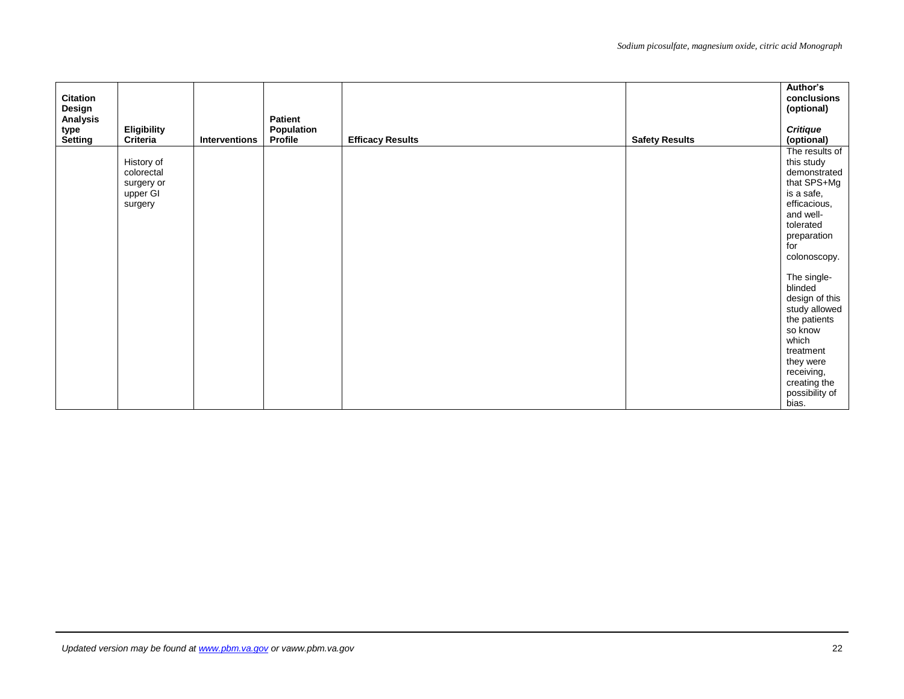| <b>Citation</b><br>Design<br>Analysis |                                                               |               | <b>Patient</b><br>Population |                         |                       | Author's<br>conclusions<br>(optional)                                                                                                                                            |
|---------------------------------------|---------------------------------------------------------------|---------------|------------------------------|-------------------------|-----------------------|----------------------------------------------------------------------------------------------------------------------------------------------------------------------------------|
| type<br>Setting                       | <b>Eligibility</b><br>Criteria                                | Interventions | Profile                      | <b>Efficacy Results</b> | <b>Safety Results</b> | <b>Critique</b><br>(optional)                                                                                                                                                    |
|                                       | History of<br>colorectal<br>surgery or<br>upper GI<br>surgery |               |                              |                         |                       | The results of<br>this study<br>demonstrated<br>that SPS+Mg<br>is a safe,<br>efficacious,<br>and well-<br>tolerated<br>preparation<br>for<br>colonoscopy.                        |
|                                       |                                                               |               |                              |                         |                       | The single-<br>blinded<br>design of this<br>study allowed<br>the patients<br>so know<br>which<br>treatment<br>they were<br>receiving,<br>creating the<br>possibility of<br>bias. |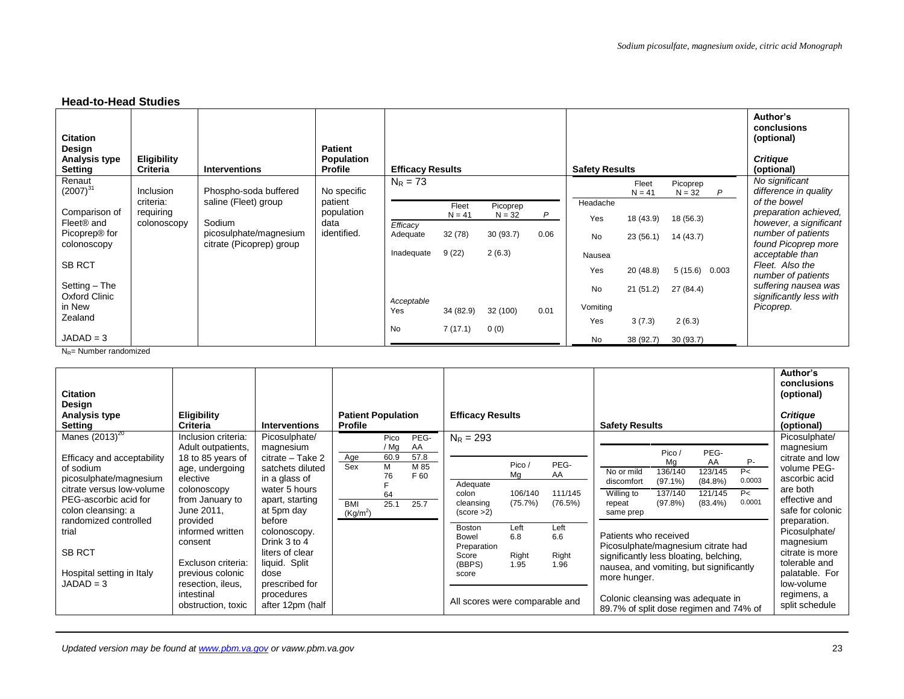### **Head-to-Head Studies**

| <b>Citation</b><br>Design<br>Analysis type<br><b>Setting</b> | Eligibility<br><b>Criteria</b> | Interventions                                      | <b>Patient</b><br>Population<br><b>Profile</b> | <b>Efficacy Results</b> |           |          |      | <b>Safety Results</b> |                   |                      |   | Author's<br>conclusions<br>(optional)<br><b>Critique</b><br>(optional) |
|--------------------------------------------------------------|--------------------------------|----------------------------------------------------|------------------------------------------------|-------------------------|-----------|----------|------|-----------------------|-------------------|----------------------|---|------------------------------------------------------------------------|
| Renaut<br>$(2007)^{31}$                                      | <b>Inclusion</b>               | Phospho-soda buffered                              | No specific                                    | $N_R = 73$              |           |          |      |                       | Fleet<br>$N = 41$ | Picoprep<br>$N = 32$ | P | No significant<br>difference in quality                                |
|                                                              | criteria:                      | saline (Fleet) group                               | patient                                        |                         | Fleet     | Picoprep |      | Headache              |                   |                      |   | of the bowel                                                           |
| Comparison of                                                | requiring                      |                                                    | population                                     |                         | $N = 41$  | $N = 32$ | P    | Yes                   | 18 (43.9)         | 18 (56.3)            |   | preparation achieved,                                                  |
| Fleet <sup>®</sup> and                                       | colonoscopy                    | Sodium                                             | data                                           | Efficacy                |           |          |      |                       |                   |                      |   | however, a significant                                                 |
| Picoprep <sup>®</sup> for<br>colonoscopy                     |                                | picosulphate/magnesium<br>citrate (Picoprep) group | identified.                                    | Adequate                | 32(78)    | 30(93.7) | 0.06 | <b>No</b>             | 23(56.1)          | 14(43.7)             |   | number of patients<br>found Picoprep more                              |
|                                                              |                                |                                                    |                                                | Inadequate              | 9(22)     | 2(6.3)   |      | Nausea                |                   |                      |   | acceptable than                                                        |
| <b>SB RCT</b>                                                |                                |                                                    |                                                |                         |           |          |      |                       |                   |                      |   | Fleet. Also the                                                        |
|                                                              |                                |                                                    |                                                |                         |           |          |      | Yes                   | 20(48.8)          | $5(15.6)$ 0.003      |   | number of patients                                                     |
| Setting - The<br>Oxford Clinic                               |                                |                                                    |                                                |                         |           |          |      | <b>No</b>             | 21(51.2)          | 27 (84.4)            |   | suffering nausea was<br>significantly less with                        |
| in New                                                       |                                |                                                    |                                                | Acceptable<br>Yes       | 34 (82.9) | 32 (100) | 0.01 | Vomiting              |                   |                      |   | Picoprep.                                                              |
| Zealand                                                      |                                |                                                    |                                                |                         |           |          |      | Yes                   | 3(7.3)            | 2(6.3)               |   |                                                                        |
|                                                              |                                |                                                    |                                                | <b>No</b>               | 7(17.1)   | 0(0)     |      |                       |                   |                      |   |                                                                        |
| $JADAD = 3$                                                  |                                |                                                    |                                                |                         |           |          |      | No                    | 38 (92.7)         | 30(93.7)             |   |                                                                        |

 $N_R$ = Number randomized

| <b>Citation</b><br>Design<br>Analysis type<br><b>Setting</b>                                                                                  | <b>Eligibility</b><br><b>Criteria</b>                                                                  | <b>Interventions</b>                                                                                    | <b>Patient Population</b><br><b>Profile</b>                                                                       | <b>Efficacy Results</b>                                                                                                           | <b>Safety Results</b>                                                                                                                                                                                            | Author's<br>conclusions<br>(optional)<br><b>Critique</b><br>(optional)                                         |
|-----------------------------------------------------------------------------------------------------------------------------------------------|--------------------------------------------------------------------------------------------------------|---------------------------------------------------------------------------------------------------------|-------------------------------------------------------------------------------------------------------------------|-----------------------------------------------------------------------------------------------------------------------------------|------------------------------------------------------------------------------------------------------------------------------------------------------------------------------------------------------------------|----------------------------------------------------------------------------------------------------------------|
| Manes $(2013)^{20}$                                                                                                                           | Inclusion criteria:<br>Adult outpatients,                                                              | Picosulphate/<br>magnesium                                                                              | PEG-<br>Pico<br>$/$ Mg<br>AA                                                                                      | $N_R = 293$                                                                                                                       | PEG-<br>Pico /                                                                                                                                                                                                   | Picosulphate/<br>magnesium                                                                                     |
| Efficacy and acceptability<br>of sodium<br>picosulphate/magnesium<br>citrate versus low-volume<br>PEG-ascorbic acid for<br>colon cleansing: a | 18 to 85 years of<br>age, undergoing<br>elective<br>colonoscopy<br>from January to<br>June 2011.       | citrate - Take 2<br>satchets diluted<br>in a glass of<br>water 5 hours<br>apart, starting<br>at 5pm day | 57.8<br>60.9<br>Age<br>M 85<br>Sex<br>м<br>F 60<br>76<br>64<br><b>BMI</b><br>25.1<br>25.7<br>(Kg/m <sup>2</sup> ) | PEG-<br>Pico /<br>AA<br>Mg<br>Adequate<br>106/140<br>111/145<br>colon<br>(75.7%)<br>(76.5%)<br>cleansing<br>(score >2)            | P-<br>Mq<br>AA<br>No or mild<br>136/140<br>123/145<br>P<<br>0.0003<br>$(97.1\%)$<br>$(84.8\%)$<br>discomfort<br>Willing to<br>P<<br>137/140<br>121/145<br>0.0001<br>(97.8%)<br>$(83.4\%)$<br>repeat<br>same prep | citrate and low<br>volume PEG-<br>ascorbic acid<br>are both<br>effective and<br>safe for colonic               |
| randomized controlled<br>trial<br><b>SB RCT</b><br>Hospital setting in Italy<br>$JADAD = 3$                                                   | provided<br>informed written<br>consent<br>Excluson criteria:<br>previous colonic<br>resection, ileus, | before<br>colonoscopy.<br>Drink 3 to 4<br>liters of clear<br>liquid. Split<br>dose<br>prescribed for    |                                                                                                                   | <b>Boston</b><br>Left<br>Left<br>6.6<br>6.8<br>Bowel<br>Preparation<br>Right<br>Right<br>Score<br>(BBPS)<br>1.95<br>1.96<br>score | Patients who received<br>Picosulphate/magnesium citrate had<br>significantly less bloating, belching,<br>nausea, and vomiting, but significantly<br>more hunger.                                                 | preparation.<br>Picosulphate/<br>magnesium<br>citrate is more<br>tolerable and<br>palatable. For<br>low-volume |
|                                                                                                                                               | intestinal<br>obstruction, toxic                                                                       | procedures<br>after 12pm (half                                                                          |                                                                                                                   | All scores were comparable and                                                                                                    | Colonic cleansing was adequate in<br>89.7% of split dose regimen and 74% of                                                                                                                                      | regimens, a<br>split schedule                                                                                  |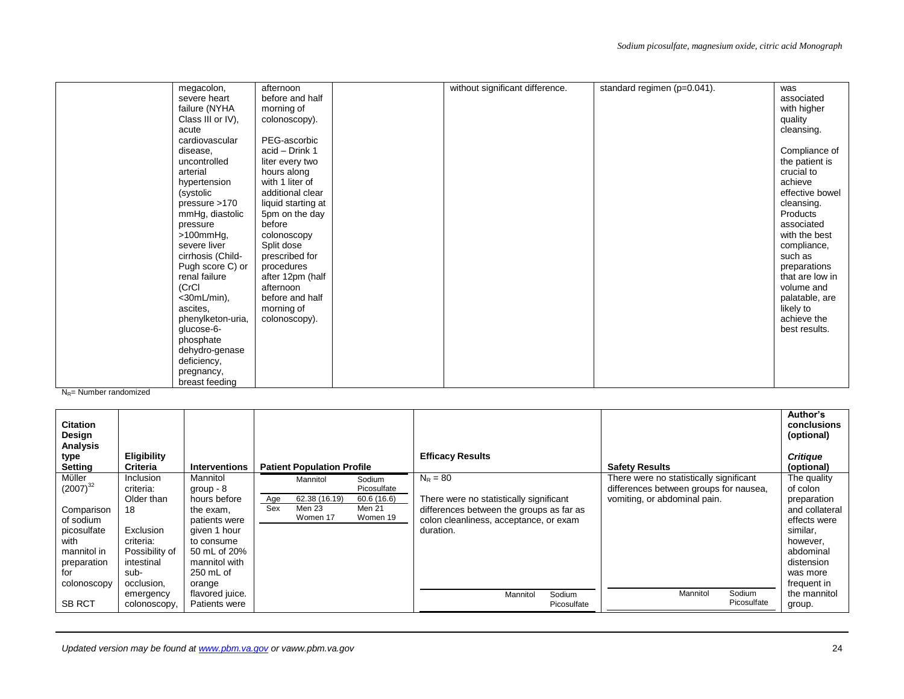|                   | afternoon          | without significant difference. | standard regimen (p=0.041). |                 |
|-------------------|--------------------|---------------------------------|-----------------------------|-----------------|
| megacolon,        |                    |                                 |                             | was             |
| severe heart      | before and half    |                                 |                             | associated      |
| failure (NYHA     | morning of         |                                 |                             | with higher     |
| Class III or IV), | colonoscopy).      |                                 |                             | quality         |
| acute             |                    |                                 |                             | cleansing.      |
| cardiovascular    | PEG-ascorbic       |                                 |                             |                 |
| disease,          | acid - Drink 1     |                                 |                             | Compliance of   |
| uncontrolled      | liter every two    |                                 |                             | the patient is  |
| arterial          | hours along        |                                 |                             | crucial to      |
| hypertension      | with 1 liter of    |                                 |                             | achieve         |
| (systolic         | additional clear   |                                 |                             | effective bowel |
| pressure >170     | liquid starting at |                                 |                             | cleansing.      |
| mmHg, diastolic   | 5pm on the day     |                                 |                             | Products        |
| pressure          | before             |                                 |                             | associated      |
| $>100$ mm $Hg$ ,  | colonoscopy        |                                 |                             | with the best   |
| severe liver      | Split dose         |                                 |                             | compliance,     |
| cirrhosis (Child- | prescribed for     |                                 |                             | such as         |
| Pugh score C) or  | procedures         |                                 |                             | preparations    |
| renal failure     | after 12pm (half   |                                 |                             | that are low in |
| (CrCl)            | afternoon          |                                 |                             | volume and      |
| $<$ 30mL/min),    | before and half    |                                 |                             | palatable, are  |
| ascites,          | morning of         |                                 |                             | likely to       |
| phenylketon-uria, |                    |                                 |                             | achieve the     |
|                   | colonoscopy).      |                                 |                             | best results.   |
| glucose-6-        |                    |                                 |                             |                 |
| phosphate         |                    |                                 |                             |                 |
| dehydro-genase    |                    |                                 |                             |                 |
| deficiency,       |                    |                                 |                             |                 |
| pregnancy,        |                    |                                 |                             |                 |
| breast feeding    |                    |                                 |                             |                 |

 $N_R$ = Number randomized

| <b>Citation</b><br>Design<br><b>Analysis</b>                                                                                  |                                                                                                                            |                                                                                                                                                            |            |                                                 |                                                           |                                                                                                                                                          |                       |                                                                                                                   | Author's<br>conclusions<br>(optional)                                                                                                                  |
|-------------------------------------------------------------------------------------------------------------------------------|----------------------------------------------------------------------------------------------------------------------------|------------------------------------------------------------------------------------------------------------------------------------------------------------|------------|-------------------------------------------------|-----------------------------------------------------------|----------------------------------------------------------------------------------------------------------------------------------------------------------|-----------------------|-------------------------------------------------------------------------------------------------------------------|--------------------------------------------------------------------------------------------------------------------------------------------------------|
| type<br>Setting                                                                                                               | Eligibility<br><b>Criteria</b>                                                                                             | <b>Interventions</b>                                                                                                                                       |            | <b>Patient Population Profile</b>               |                                                           | <b>Efficacy Results</b>                                                                                                                                  |                       | <b>Safety Results</b>                                                                                             | <b>Critique</b><br>(optional)                                                                                                                          |
| Müller<br>$(2007)^{32}$<br>Comparison<br>of sodium<br>picosulfate<br>with<br>mannitol in<br>preparation<br>for<br>colonoscopy | Inclusion<br>criteria:<br>Older than<br>18<br>Exclusion<br>criteria:<br>Possibility of<br>intestinal<br>sub-<br>occlusion. | Mannitol<br>group $-8$<br>hours before<br>the exam,<br>patients were<br>given 1 hour<br>to consume<br>50 mL of 20%<br>mannitol with<br>250 mL of<br>orange | Age<br>Sex | Mannitol<br>62.38 (16.19)<br>Men 23<br>Women 17 | Sodium<br>Picosulfate<br>60.6(16.6)<br>Men 21<br>Women 19 | $N_R = 80$<br>There were no statistically significant<br>differences between the groups as far as<br>colon cleanliness, acceptance, or exam<br>duration. |                       | There were no statistically significant<br>differences between groups for nausea,<br>vomiting, or abdominal pain. | The quality<br>of colon<br>preparation<br>and collateral<br>effects were<br>similar,<br>however,<br>abdominal<br>distension<br>was more<br>frequent in |
| <b>SB RCT</b>                                                                                                                 | emergency<br>colonoscopy,                                                                                                  | flavored juice.<br>Patients were                                                                                                                           |            |                                                 |                                                           | Mannitol                                                                                                                                                 | Sodium<br>Picosulfate | Mannitol<br>Sodium<br>Picosulfate                                                                                 | the mannitol<br>group.                                                                                                                                 |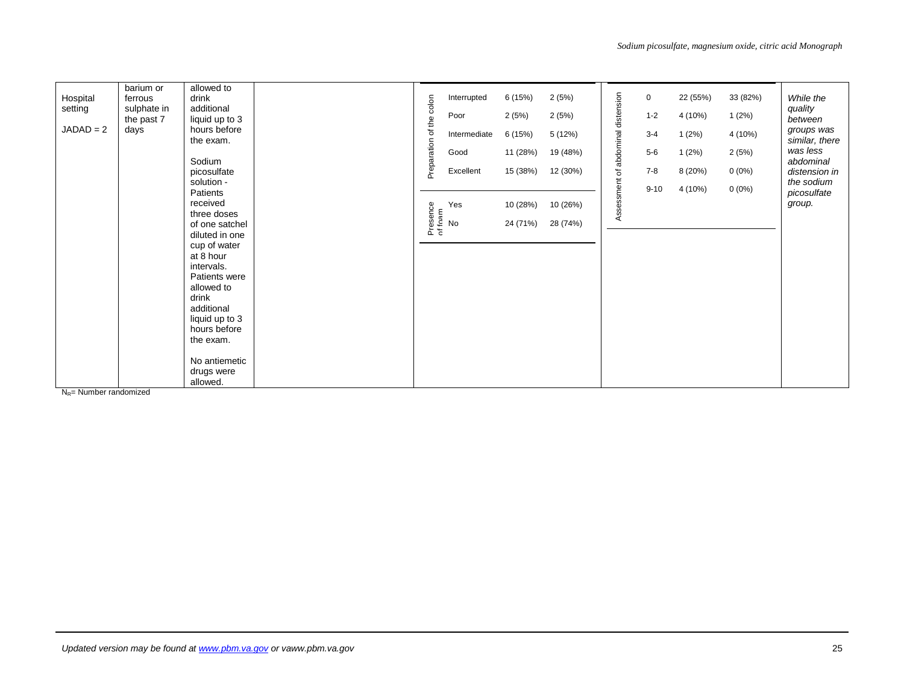| barium or<br>Hospital<br>ferrous<br>setting<br>sulphate in<br>the past 7<br>$JADAD = 2$<br>days | allowed to<br>drink<br>additional<br>liquid up to 3<br>hours before<br>the exam.<br>Sodium<br>picosulfate<br>solution -                                                                                                                                            | colon<br>the<br>৳<br>Preparation | Interrupted<br>Poor<br>Intermediate<br>Good<br>Excellent | 6(15%)<br>2(5%)<br>6(15%)<br>11 (28%)<br>15 (38%) | 2(5%)<br>2(5%)<br>5 (12%)<br>19 (48%)<br>12 (30%) | of abdominal distension | $\mathbf 0$<br>$1 - 2$<br>$3 - 4$<br>$5-6$<br>$7 - 8$<br>$9 - 10$ | 22 (55%)<br>4 (10%)<br>1(2%)<br>1(2%)<br>8(20%)<br>4 (10%) | 33 (82%)<br>1(2%)<br>4 (10%)<br>2(5%)<br>$0(0\%)$<br>$0(0\%)$ | While the<br>quality<br>between<br>groups was<br>similar, there<br>was less<br>abdominal<br>distension in<br>the sodium |
|-------------------------------------------------------------------------------------------------|--------------------------------------------------------------------------------------------------------------------------------------------------------------------------------------------------------------------------------------------------------------------|----------------------------------|----------------------------------------------------------|---------------------------------------------------|---------------------------------------------------|-------------------------|-------------------------------------------------------------------|------------------------------------------------------------|---------------------------------------------------------------|-------------------------------------------------------------------------------------------------------------------------|
|                                                                                                 | Patients<br>received<br>three doses<br>of one satchel<br>diluted in one<br>cup of water<br>at 8 hour<br>intervals.<br>Patients were<br>allowed to<br>drink<br>additional<br>liquid up to 3<br>hours before<br>the exam.<br>No antiemetic<br>drugs were<br>allowed. |                                  | Presence<br>of foam<br>of No<br>Yes                      | 10 (28%)<br>24 (71%)                              | 10 (26%)<br>28 (74%)                              | Assessment              |                                                                   |                                                            |                                                               | picosulfate<br>group.                                                                                                   |

 $N<sub>R</sub>$ = Number randomized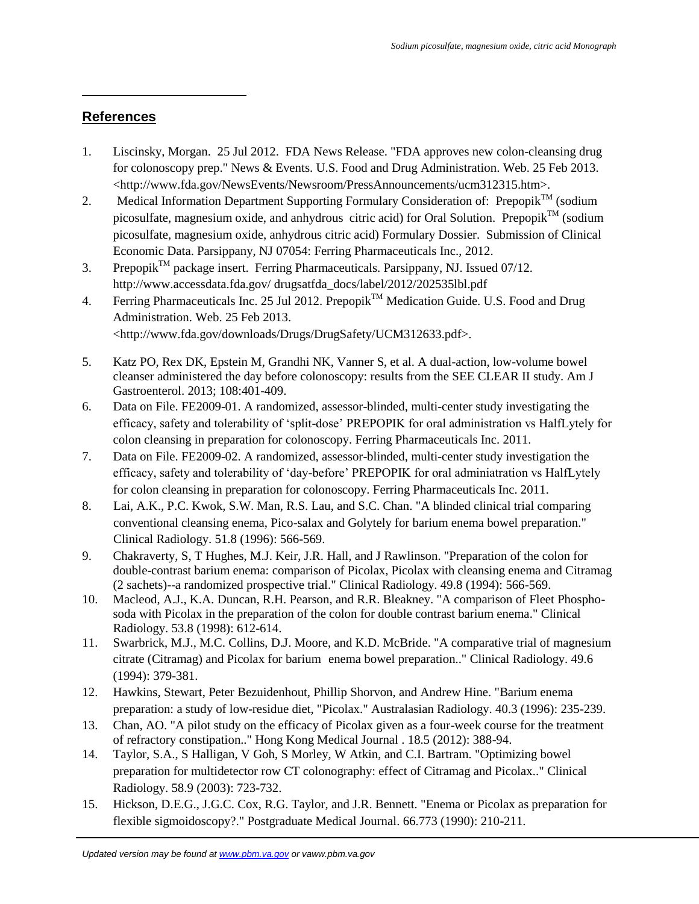## **References**

 $\overline{\phantom{a}}$ 

- 1. Liscinsky, Morgan. 25 Jul 2012. FDA News Release. "FDA approves new colon-cleansing drug for colonoscopy prep." News & Events. U.S. Food and Drug Administration. Web. 25 Feb 2013. <http://www.fda.gov/NewsEvents/Newsroom/PressAnnouncements/ucm312315.htm>.
- 2. Medical Information Department Supporting Formulary Consideration of: Prepopik<sup>TM</sup> (sodium picosulfate, magnesium oxide, and anhydrous citric acid) for Oral Solution. Prepopik<sup>TM</sup> (sodium picosulfate, magnesium oxide, anhydrous citric acid) Formulary Dossier. Submission of Clinical Economic Data. Parsippany, NJ 07054: Ferring Pharmaceuticals Inc., 2012.
- 3. Prepopik<sup>TM</sup> package insert. Ferring Pharmaceuticals. Parsippany, NJ. Issued  $07/12$ . http://www.accessdata.fda.gov/ drugsatfda\_docs/label/2012/202535lbl.pdf
- 4. Ferring Pharmaceuticals Inc. 25 Jul 2012. Prepopik<sup>TM</sup> Medication Guide. U.S. Food and Drug Administration. Web. 25 Feb 2013. <http://www.fda.gov/downloads/Drugs/DrugSafety/UCM312633.pdf>.
- 5. Katz PO, Rex DK, Epstein M, Grandhi NK, Vanner S, et al. A dual-action, low-volume bowel cleanser administered the day before colonoscopy: results from the SEE CLEAR II study. Am J Gastroenterol. 2013; 108:401-409.
- 6. Data on File. FE2009-01. A randomized, assessor-blinded, multi-center study investigating the efficacy, safety and tolerability of 'split-dose' PREPOPIK for oral administration vs HalfLytely for colon cleansing in preparation for colonoscopy. Ferring Pharmaceuticals Inc. 2011.
- 7. Data on File. FE2009-02. A randomized, assessor-blinded, multi-center study investigation the efficacy, safety and tolerability of 'day-before' PREPOPIK for oral adminiatration vs HalfLytely for colon cleansing in preparation for colonoscopy. Ferring Pharmaceuticals Inc. 2011.
- 8. Lai, A.K., P.C. Kwok, S.W. Man, R.S. Lau, and S.C. Chan. "A blinded clinical trial comparing conventional cleansing enema, Pico-salax and Golytely for barium enema bowel preparation." Clinical Radiology. 51.8 (1996): 566-569.
- 9. Chakraverty, S, T Hughes, M.J. Keir, J.R. Hall, and J Rawlinson. "Preparation of the colon for double-contrast barium enema: comparison of Picolax, Picolax with cleansing enema and Citramag (2 sachets)--a randomized prospective trial." Clinical Radiology. 49.8 (1994): 566-569.
- 10. Macleod, A.J., K.A. Duncan, R.H. Pearson, and R.R. Bleakney. "A comparison of Fleet Phosphosoda with Picolax in the preparation of the colon for double contrast barium enema." Clinical Radiology. 53.8 (1998): 612-614.
- 11. Swarbrick, M.J., M.C. Collins, D.J. Moore, and K.D. McBride. "A comparative trial of magnesium citrate (Citramag) and Picolax for barium enema bowel preparation.." Clinical Radiology. 49.6 (1994): 379-381.
- 12. Hawkins, Stewart, Peter Bezuidenhout, Phillip Shorvon, and Andrew Hine. "Barium enema preparation: a study of low-residue diet, "Picolax." Australasian Radiology. 40.3 (1996): 235-239.
- 13. Chan, AO. "A pilot study on the efficacy of Picolax given as a four-week course for the treatment of refractory constipation.." Hong Kong Medical Journal . 18.5 (2012): 388-94.
- 14. Taylor, S.A., S Halligan, V Goh, S Morley, W Atkin, and C.I. Bartram. "Optimizing bowel preparation for multidetector row CT colonography: effect of Citramag and Picolax.." Clinical Radiology. 58.9 (2003): 723-732.
- 15. Hickson, D.E.G., J.G.C. Cox, R.G. Taylor, and J.R. Bennett. "Enema or Picolax as preparation for flexible sigmoidoscopy?." Postgraduate Medical Journal. 66.773 (1990): 210-211.